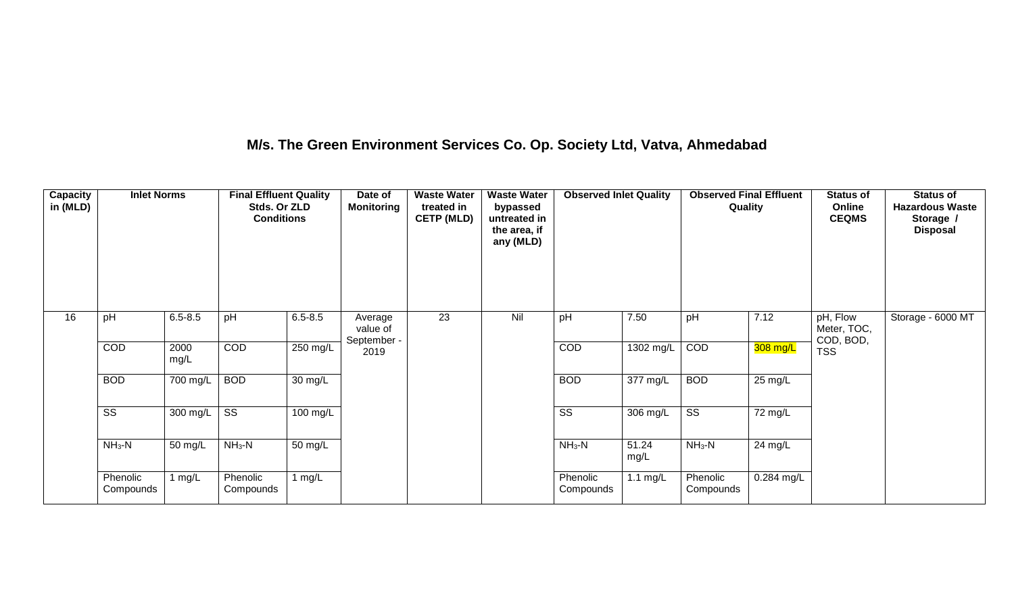## **M/s. The Green Environment Services Co. Op. Society Ltd, Vatva, Ahmedabad**

| Capacity<br>in (MLD) | <b>Inlet Norms</b>     |              | <b>Final Effluent Quality</b><br>Stds. Or ZLD<br><b>Conditions</b> |                   | Date of<br><b>Monitoring</b>       | <b>Waste Water</b><br>treated in<br><b>CETP (MLD)</b> | <b>Waste Water</b><br>bypassed<br>untreated in<br>the area, if<br>any (MLD) | <b>Observed Inlet Quality</b> |               | <b>Observed Final Effluent</b><br>Quality |            | <b>Status of</b><br>Online<br><b>CEQMS</b> | <b>Status of</b><br><b>Hazardous Waste</b><br>Storage /<br><b>Disposal</b> |
|----------------------|------------------------|--------------|--------------------------------------------------------------------|-------------------|------------------------------------|-------------------------------------------------------|-----------------------------------------------------------------------------|-------------------------------|---------------|-------------------------------------------|------------|--------------------------------------------|----------------------------------------------------------------------------|
| 16                   | pH                     | $6.5 - 8.5$  | pH                                                                 | $6.5 - 8.5$       | Average<br>value of<br>September - | $\overline{23}$                                       | Nil                                                                         | pH                            | 7.50          | pH                                        | 7.12       | pH, Flow<br>Meter, TOC,<br>COD, BOD,       | Storage - 6000 MT                                                          |
|                      | COD                    | 2000<br>mg/L | COD                                                                | $250$ mg/L        | 2019                               |                                                       |                                                                             | COD                           | 1302 mg/L     | COD                                       | 308 mg/L   | <b>TSS</b>                                 |                                                                            |
|                      | <b>BOD</b>             | 700 mg/L     | <b>BOD</b>                                                         | $30 \text{ mg/L}$ |                                    |                                                       |                                                                             | <b>BOD</b>                    | 377 mg/L      | <b>BOD</b>                                | 25 mg/L    |                                            |                                                                            |
|                      | $\overline{\text{ss}}$ | 300 mg/L     | $\overline{\text{ss}}$                                             | 100 mg/L          |                                    |                                                       |                                                                             | SS                            | 306 mg/L      | $\overline{\text{SS}}$                    | 72 mg/L    |                                            |                                                                            |
|                      | $NH3-N$                | 50 mg/L      | $NH3-N$                                                            | 50 mg/L           |                                    |                                                       |                                                                             | $NH_3-N$                      | 51.24<br>mg/L | $NH3-N$                                   | 24 mg/L    |                                            |                                                                            |
|                      | Phenolic<br>Compounds  | l mg/L       | Phenolic<br>Compounds                                              | 1 $mg/L$          |                                    |                                                       |                                                                             | Phenolic<br>Compounds         | 1.1 $mg/L$    | Phenolic<br>Compounds                     | 0.284 mg/L |                                            |                                                                            |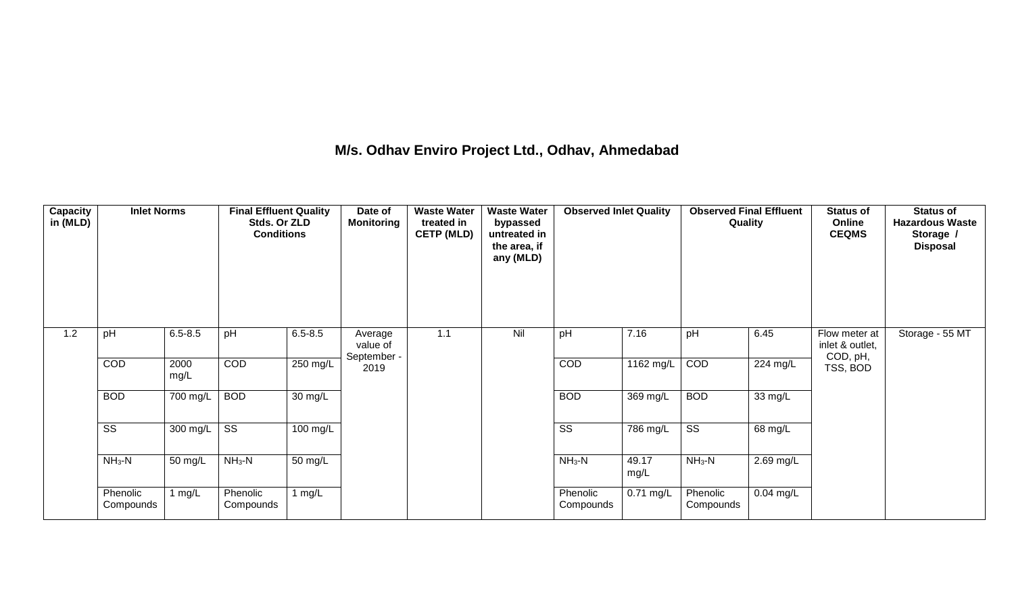## **M/s. Odhav Enviro Project Ltd., Odhav, Ahmedabad**

| <b>Capacity</b><br>in (MLD) | <b>Inlet Norms</b>     |              | <b>Final Effluent Quality</b><br>Stds. Or ZLD<br><b>Conditions</b> |             | Date of<br><b>Monitoring</b>       | <b>Waste Water</b><br>treated in<br><b>CETP (MLD)</b> | <b>Waste Water</b><br>bypassed<br>untreated in<br>the area, if<br>any (MLD) | <b>Observed Inlet Quality</b> |               | <b>Observed Final Effluent</b><br>Quality |                       | <b>Status of</b><br>Online<br><b>CEQMS</b>   | <b>Status of</b><br><b>Hazardous Waste</b><br>Storage /<br><b>Disposal</b> |
|-----------------------------|------------------------|--------------|--------------------------------------------------------------------|-------------|------------------------------------|-------------------------------------------------------|-----------------------------------------------------------------------------|-------------------------------|---------------|-------------------------------------------|-----------------------|----------------------------------------------|----------------------------------------------------------------------------|
| 1.2                         | pH                     | $6.5 - 8.5$  | pH                                                                 | $6.5 - 8.5$ | Average<br>value of<br>September - | 1.1                                                   | Nil                                                                         | pH                            | 7.16          | pH                                        | 6.45                  | Flow meter at<br>inlet & outlet,<br>COD, pH, | Storage - 55 MT                                                            |
|                             | COD                    | 2000<br>mg/L | <b>COD</b>                                                         | 250 mg/L    | 2019                               |                                                       |                                                                             | COD                           | $1162$ mg/L   | COD                                       | $\overline{224}$ mg/L | TSS, BOD                                     |                                                                            |
|                             | <b>BOD</b>             | 700 mg/L     | <b>BOD</b>                                                         | 30 mg/L     |                                    |                                                       |                                                                             | <b>BOD</b>                    | 369 mg/L      | <b>BOD</b>                                | 33 mg/L               |                                              |                                                                            |
|                             | $\overline{\text{ss}}$ | 300 mg/L     | $\overline{\text{ss}}$                                             | 100 mg/L    |                                    |                                                       |                                                                             | $\overline{\text{ss}}$        | 786 mg/L      | $\overline{\text{ss}}$                    | 68 mg/L               |                                              |                                                                            |
|                             | $NH3-N$                | 50 mg/L      | $NH3-N$                                                            | 50 mg/L     |                                    |                                                       |                                                                             | $NH3-N$                       | 49.17<br>mg/L | $NH3-N$                                   | 2.69 mg/L             |                                              |                                                                            |
|                             | Phenolic<br>Compounds  | 1 mg/L       | Phenolic<br>Compounds                                              | 1 $mg/L$    |                                    |                                                       |                                                                             | Phenolic<br>Compounds         | $0.71$ mg/L   | Phenolic<br>Compounds                     | $0.04$ mg/L           |                                              |                                                                            |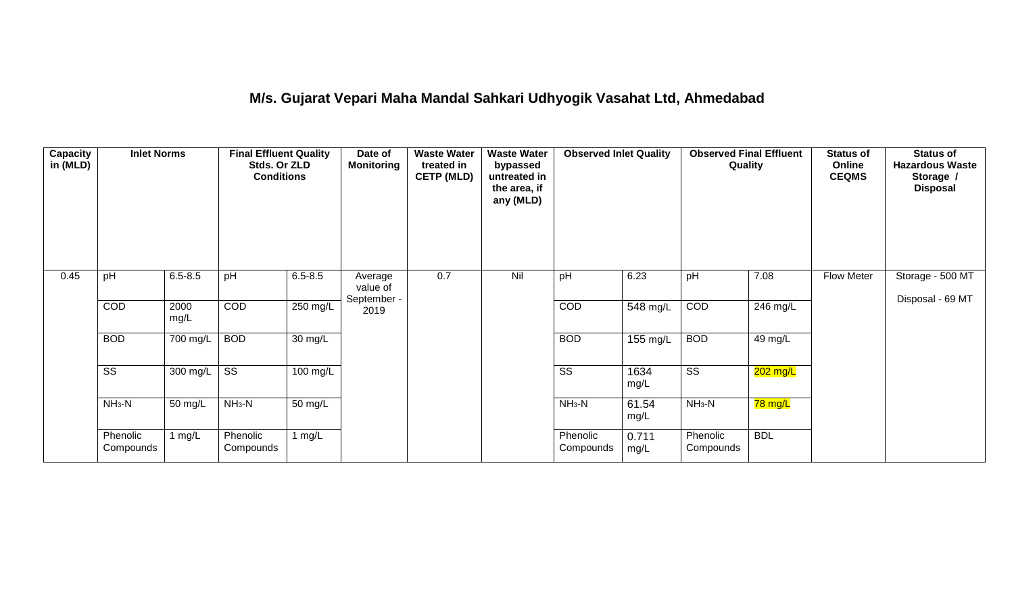## **M/s. Gujarat Vepari Maha Mandal Sahkari Udhyogik Vasahat Ltd, Ahmedabad**

| Capacity<br>in (MLD) | <b>Inlet Norms</b>     |              | <b>Final Effluent Quality</b><br>Stds. Or ZLD<br><b>Conditions</b> |                    | Date of<br><b>Monitoring</b>       | <b>Waste Water</b><br>treated in<br><b>CETP (MLD)</b> | <b>Waste Water</b><br>bypassed<br>untreated in<br>the area, if<br>any (MLD) | <b>Observed Inlet Quality</b> |               | <b>Observed Final Effluent</b><br>Quality |            | <b>Status of</b><br>Online<br><b>CEQMS</b> | <b>Status of</b><br><b>Hazardous Waste</b><br>Storage /<br><b>Disposal</b> |
|----------------------|------------------------|--------------|--------------------------------------------------------------------|--------------------|------------------------------------|-------------------------------------------------------|-----------------------------------------------------------------------------|-------------------------------|---------------|-------------------------------------------|------------|--------------------------------------------|----------------------------------------------------------------------------|
| 0.45                 | pH                     | $6.5 - 8.5$  | pH                                                                 | $6.5 - 8.5$        | Average<br>value of<br>September - | 0.7                                                   | Nil                                                                         | pH                            | 6.23          | pH                                        | 7.08       | <b>Flow Meter</b>                          | Storage - 500 MT<br>Disposal - 69 MT                                       |
|                      | COD                    | 2000<br>mg/L | COD                                                                | 250 mg/L           | 2019                               |                                                       |                                                                             | COD                           | 548 mg/L      | COD                                       | 246 mg/L   |                                            |                                                                            |
|                      | <b>BOD</b>             | 700 mg/L     | <b>BOD</b>                                                         | 30 mg/L            |                                    |                                                       |                                                                             | <b>BOD</b>                    | 155 mg/L      | <b>BOD</b>                                | 49 mg/L    |                                            |                                                                            |
|                      | $\overline{\text{ss}}$ | 300 mg/L     | $\overline{\text{ss}}$                                             | $100 \text{ mg/L}$ |                                    |                                                       |                                                                             | $\overline{\text{ss}}$        | 1634<br>mg/L  | $\overline{\text{ss}}$                    | $202$ mg/L |                                            |                                                                            |
|                      | $NH3-N$                | 50 mg/L      | $NH3-N$                                                            | 50 mg/L            |                                    |                                                       |                                                                             | $NH3-N$                       | 61.54<br>mg/L | $NH3-N$                                   | 78 mg/L    |                                            |                                                                            |
|                      | Phenolic<br>Compounds  | 1 mg/L       | Phenolic<br>Compounds                                              | 1 mg/L             |                                    |                                                       |                                                                             | Phenolic<br>Compounds         | 0.711<br>mg/L | Phenolic<br>Compounds                     | <b>BDL</b> |                                            |                                                                            |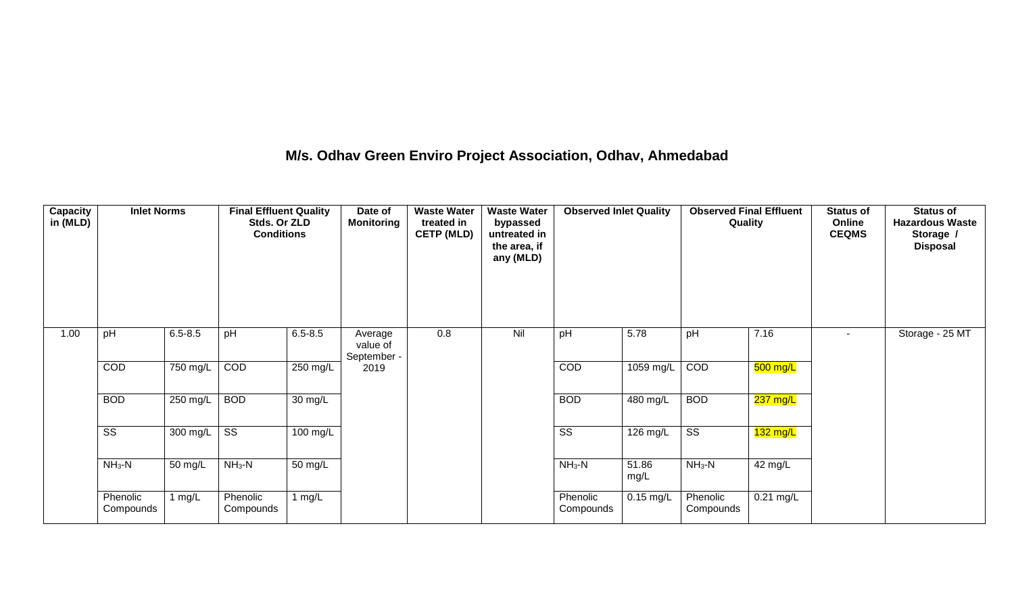## **M/s. Odhav Green Enviro Project Association, Odhav, Ahmedabad**

| Capacity<br>in (MLD) | <b>Inlet Norms</b>     |                       | <b>Final Effluent Quality</b><br>Stds. Or ZLD<br><b>Conditions</b> |             | Date of<br><b>Monitoring</b>       | <b>Waste Water</b><br>treated in<br><b>CETP (MLD)</b> | <b>Waste Water</b><br>bypassed<br>untreated in<br>the area, if<br>any (MLD) | <b>Observed Inlet Quality</b> |               | <b>Observed Final Effluent</b><br>Quality |             | <b>Status of</b><br>Online<br><b>CEQMS</b> | <b>Status of</b><br><b>Hazardous Waste</b><br>Storage /<br><b>Disposal</b> |
|----------------------|------------------------|-----------------------|--------------------------------------------------------------------|-------------|------------------------------------|-------------------------------------------------------|-----------------------------------------------------------------------------|-------------------------------|---------------|-------------------------------------------|-------------|--------------------------------------------|----------------------------------------------------------------------------|
| 1.00                 | pH                     | $6.5 - 8.5$           | pH                                                                 | $6.5 - 8.5$ | Average<br>value of<br>September - | 0.8                                                   | Nil                                                                         | pH                            | 5.78          | pH                                        | 7.16        | $\sim$                                     | Storage - 25 MT                                                            |
|                      | COD                    | $\overline{750}$ mg/L | COD                                                                | $250$ mg/L  | 2019                               |                                                       |                                                                             | COD                           | 1059 mg/L     | COD                                       | 500 mg/L    |                                            |                                                                            |
|                      | <b>BOD</b>             | 250 mg/L              | <b>BOD</b>                                                         | 30 mg/L     |                                    |                                                       |                                                                             | <b>BOD</b>                    | 480 mg/L      | <b>BOD</b>                                | 237 mg/L    |                                            |                                                                            |
|                      | $\overline{\text{ss}}$ | 300 mg/L              | $\overline{\text{ss}}$                                             | 100 mg/L    |                                    |                                                       |                                                                             | SS                            | 126 mg/L      | $\overline{\text{SS}}$                    | $132$ mg/L  |                                            |                                                                            |
|                      | $NH_3-N$               | 50 mg/L               | $NH3-N$                                                            | 50 mg/L     |                                    |                                                       |                                                                             | $NH3-N$                       | 51.86<br>mg/L | $NH3-N$                                   | 42 mg/L     |                                            |                                                                            |
|                      | Phenolic<br>Compounds  | 1 $mg/L$              | Phenolic<br>Compounds                                              | 1 $mg/L$    |                                    |                                                       |                                                                             | Phenolic<br>Compounds         | $0.15$ mg/L   | Phenolic<br>Compounds                     | $0.21$ mg/L |                                            |                                                                            |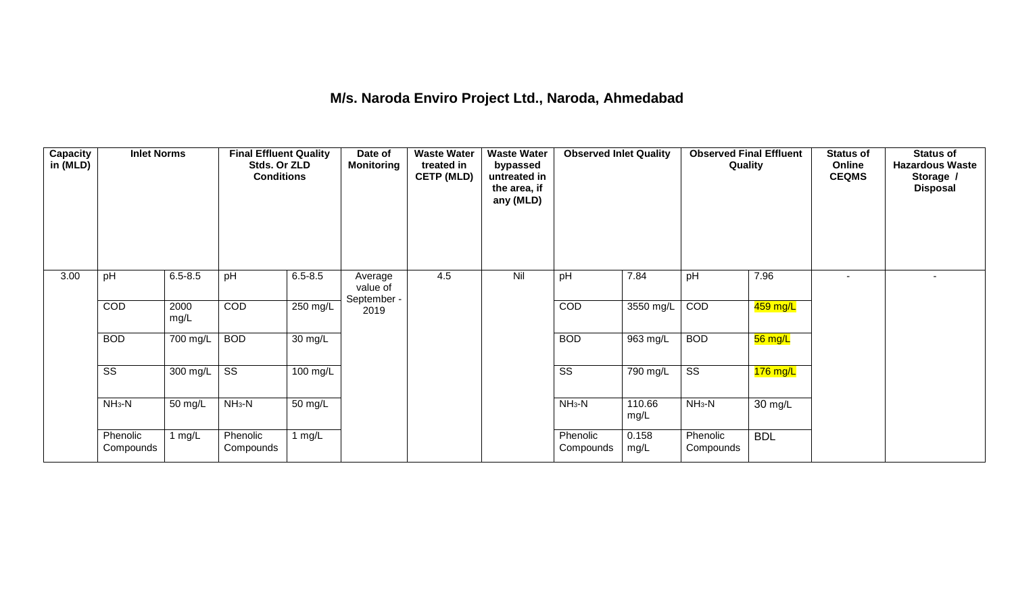## **M/s. Naroda Enviro Project Ltd., Naroda, Ahmedabad**

| <b>Capacity</b><br>in (MLD) | <b>Inlet Norms</b>     |              | <b>Final Effluent Quality</b><br>Stds. Or ZLD<br><b>Conditions</b> |                      | Date of<br><b>Monitoring</b>       | <b>Waste Water</b><br>treated in<br><b>CETP (MLD)</b> | <b>Waste Water</b><br>bypassed<br>untreated in<br>the area, if<br>any (MLD) | <b>Observed Inlet Quality</b> |                       | <b>Observed Final Effluent</b><br>Quality |                      | <b>Status of</b><br>Online<br><b>CEQMS</b> | <b>Status of</b><br><b>Hazardous Waste</b><br>Storage /<br><b>Disposal</b> |
|-----------------------------|------------------------|--------------|--------------------------------------------------------------------|----------------------|------------------------------------|-------------------------------------------------------|-----------------------------------------------------------------------------|-------------------------------|-----------------------|-------------------------------------------|----------------------|--------------------------------------------|----------------------------------------------------------------------------|
| 3.00                        | pH                     | $6.5 - 8.5$  | pH                                                                 | $6.5 - 8.5$          | Average<br>value of<br>September - | 4.5                                                   | Nil                                                                         | pH                            | 7.84                  | pH                                        | 7.96                 | ٠                                          |                                                                            |
|                             | COD                    | 2000<br>mg/L | COD                                                                | 250 mg/L             | 2019                               |                                                       |                                                                             | COD                           | 3550 mg/L             | COD                                       | 459 mg/L             |                                            |                                                                            |
|                             | <b>BOD</b>             | 700 mg/L     | <b>BOD</b>                                                         | $\overline{30}$ mg/L |                                    |                                                       |                                                                             | <b>BOD</b>                    | 963 mg/L              | <b>BOD</b>                                | 56 mg/L              |                                            |                                                                            |
|                             | $\overline{\text{ss}}$ | 300 mg/L     | $\overline{\text{ss}}$                                             | $100 \text{ mg/L}$   |                                    |                                                       |                                                                             | $\overline{\text{ss}}$        | $\overline{790}$ mg/L | $\overline{\text{ss}}$                    | $176$ mg/L           |                                            |                                                                            |
|                             | $NH3-N$                | 50 mg/L      | $NH3-N$                                                            | $\overline{50}$ mg/L |                                    |                                                       |                                                                             | $NH3-N$                       | 110.66<br>mg/L        | $NH3-N$                                   | $\overline{30}$ mg/L |                                            |                                                                            |
|                             | Phenolic<br>Compounds  | 1 mg/L       | Phenolic<br>Compounds                                              | 1 $mg/L$             |                                    |                                                       |                                                                             | Phenolic<br>Compounds         | 0.158<br>mg/L         | Phenolic<br>Compounds                     | <b>BDL</b>           |                                            |                                                                            |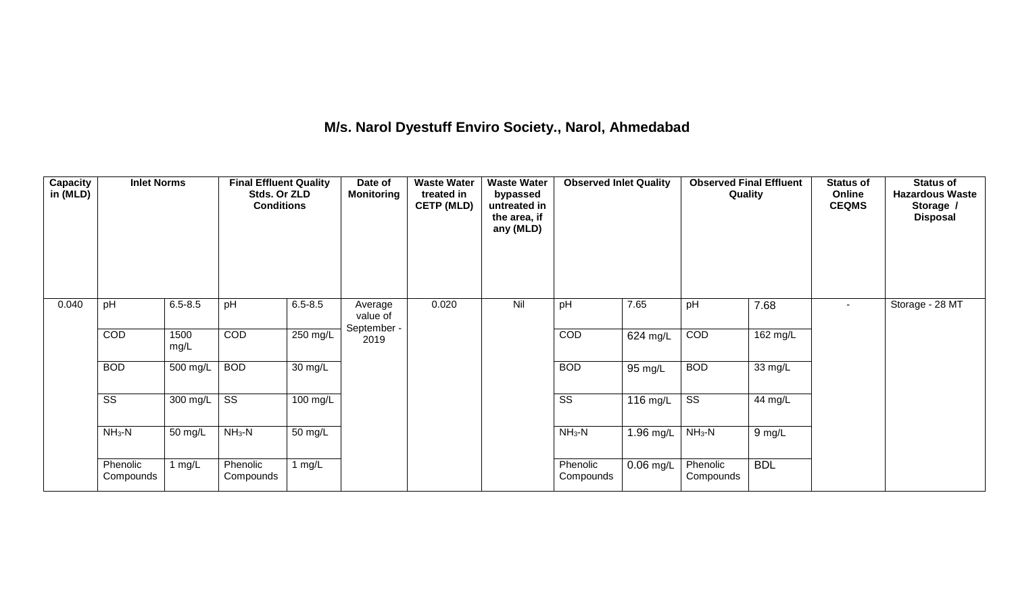## **M/s. Narol Dyestuff Enviro Society., Narol, Ahmedabad**

| <b>Capacity</b><br>in (MLD) | <b>Inlet Norms</b>     |                  | <b>Final Effluent Quality</b><br>Stds. Or ZLD<br><b>Conditions</b> |                      | Date of<br><b>Monitoring</b>       | <b>Waste Water</b><br>treated in<br><b>CETP (MLD)</b> | <b>Waste Water</b><br>bypassed<br>untreated in<br>the area, if<br>any (MLD) | <b>Observed Inlet Quality</b> |             | <b>Observed Final Effluent</b><br>Quality |                      | <b>Status of</b><br>Online<br><b>CEQMS</b> | <b>Status of</b><br><b>Hazardous Waste</b><br>Storage /<br><b>Disposal</b> |
|-----------------------------|------------------------|------------------|--------------------------------------------------------------------|----------------------|------------------------------------|-------------------------------------------------------|-----------------------------------------------------------------------------|-------------------------------|-------------|-------------------------------------------|----------------------|--------------------------------------------|----------------------------------------------------------------------------|
| 0.040                       | pH                     | $6.5 - 8.5$      | pH                                                                 | $6.5 - 8.5$          | Average<br>value of<br>September - | 0.020                                                 | Nil                                                                         | pH                            | 7.65        | pH                                        | 7.68                 | $\overline{\phantom{a}}$                   | Storage - 28 MT                                                            |
|                             | COD                    | 1500<br>mg/L     | COD                                                                | $250$ mg/L           | 2019                               |                                                       |                                                                             | COD                           | $624$ mg/L  | COD                                       | 162 mg/L             |                                            |                                                                            |
|                             | <b>BOD</b>             | 500 mg/L         | <b>BOD</b>                                                         | 30 mg/L              |                                    |                                                       |                                                                             | <b>BOD</b>                    | 95 mg/L     | <b>BOD</b>                                | $\overline{33}$ mg/L |                                            |                                                                            |
|                             | $\overline{\text{ss}}$ | 300 mg/L $\vert$ | $\overline{\text{ss}}$                                             | 100 mg/L             |                                    |                                                       |                                                                             | $\overline{\text{ss}}$        | 116 mg/L    | $\overline{\text{SS}}$                    | 44 mg/L              |                                            |                                                                            |
|                             | $NH3-N$                | 50 mg/L          | $NH3-N$                                                            | $\overline{50}$ mg/L |                                    |                                                       |                                                                             | $NH_3-N$                      | 1.96 mg/L   | $NH_3-N$                                  | 9 mg/L               |                                            |                                                                            |
|                             | Phenolic<br>Compounds  | l mg/L           | Phenolic<br>Compounds                                              | 1 $mg/L$             |                                    |                                                       |                                                                             | Phenolic<br>Compounds         | $0.06$ mg/L | Phenolic<br>Compounds                     | <b>BDL</b>           |                                            |                                                                            |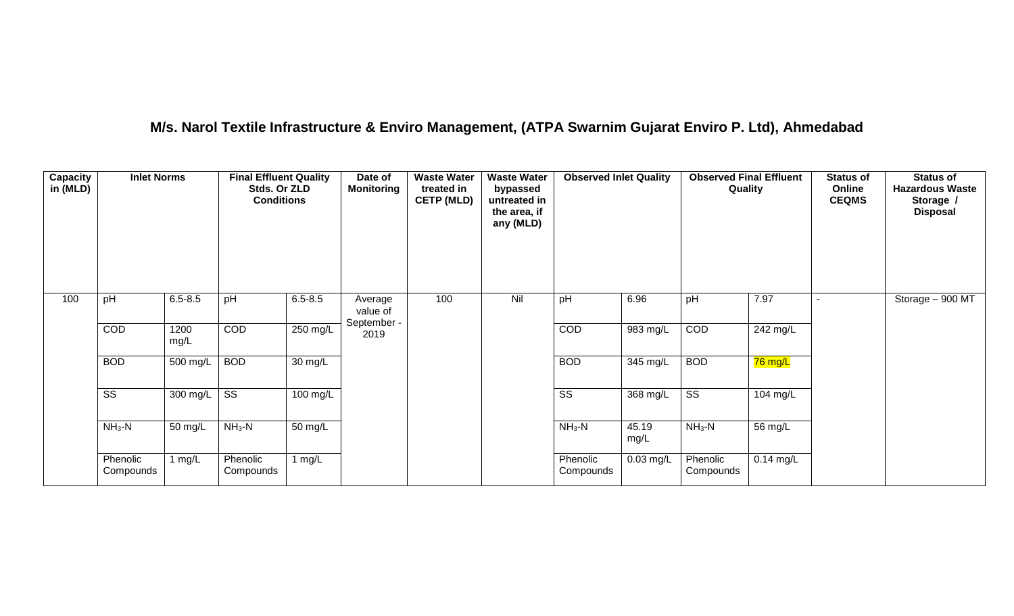## **M/s. Narol Textile Infrastructure & Enviro Management, (ATPA Swarnim Gujarat Enviro P. Ltd), Ahmedabad**

| Capacity<br>in (MLD) | <b>Inlet Norms</b>     |              | <b>Final Effluent Quality</b><br>Stds. Or ZLD<br><b>Conditions</b> |             | Date of<br><b>Monitoring</b>       | <b>Waste Water</b><br>treated in<br><b>CETP (MLD)</b> | <b>Waste Water</b><br>bypassed<br>untreated in<br>the area, if<br>any (MLD) | <b>Observed Inlet Quality</b> |                    | <b>Observed Final Effluent</b><br>Quality |             | <b>Status of</b><br>Online<br><b>CEQMS</b> | <b>Status of</b><br><b>Hazardous Waste</b><br>Storage /<br><b>Disposal</b> |
|----------------------|------------------------|--------------|--------------------------------------------------------------------|-------------|------------------------------------|-------------------------------------------------------|-----------------------------------------------------------------------------|-------------------------------|--------------------|-------------------------------------------|-------------|--------------------------------------------|----------------------------------------------------------------------------|
| 100                  | pH                     | $6.5 - 8.5$  | pH                                                                 | $6.5 - 8.5$ | Average<br>value of<br>September - | 100                                                   | Nil                                                                         | pH                            | 6.96               | pH                                        | 7.97        |                                            | Storage - 900 MT                                                           |
|                      | COD                    | 1200<br>mg/L | COD                                                                | $250$ mg/L  | 2019                               |                                                       |                                                                             | COD                           | 983 mg/L           | COD                                       | 242 mg/L    |                                            |                                                                            |
|                      | <b>BOD</b>             | 500 mg/L     | <b>BOD</b>                                                         | 30 mg/L     |                                    |                                                       |                                                                             | <b>BOD</b>                    | $345 \text{ mg/L}$ | <b>BOD</b>                                | 76 mg/L     |                                            |                                                                            |
|                      | $\overline{\text{ss}}$ | 300 mg/L     | $\overline{\text{ss}}$                                             | $100$ mg/L  |                                    |                                                       |                                                                             | $\overline{\text{ss}}$        | 368 mg/L           | $\overline{\text{ss}}$                    | 104 mg/L    |                                            |                                                                            |
|                      | $NH3-N$                | 50 mg/L      | $NH3-N$                                                            | 50 mg/L     |                                    |                                                       |                                                                             | $NH_3-N$                      | 45.19<br>mg/L      | $NH3-N$                                   | 56 mg/L     |                                            |                                                                            |
|                      | Phenolic<br>Compounds  | 1 $mg/L$     | Phenolic<br>Compounds                                              | 1 $mg/L$    |                                    |                                                       |                                                                             | Phenolic<br>Compounds         | $0.03$ mg/L        | Phenolic<br>Compounds                     | $0.14$ mg/L |                                            |                                                                            |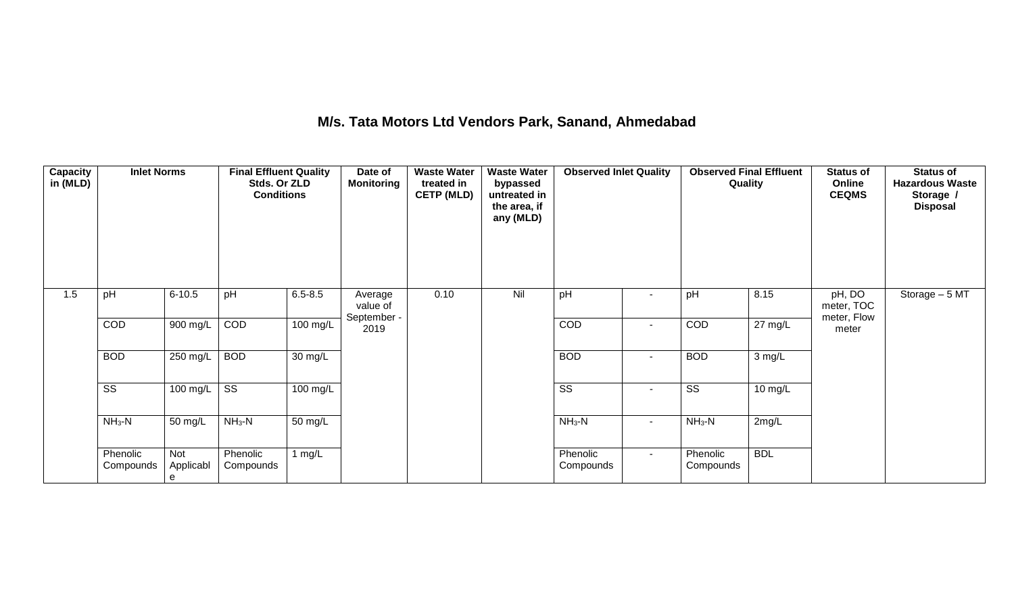## **M/s. Tata Motors Ltd Vendors Park, Sanand, Ahmedabad**

| Capacity<br>in (MLD) | <b>Inlet Norms</b>     |                       | <b>Final Effluent Quality</b><br>Stds. Or ZLD<br><b>Conditions</b> |                      | Date of<br><b>Monitoring</b>       | <b>Waste Water</b><br>treated in<br><b>CETP (MLD)</b> | <b>Waste Water</b><br>bypassed<br>untreated in<br>the area, if<br>any (MLD) | <b>Observed Inlet Quality</b> |                       | <b>Observed Final Effluent</b><br>Quality |                   | <b>Status of</b><br>Online<br><b>CEQMS</b> | <b>Status of</b><br><b>Hazardous Waste</b><br>Storage /<br><b>Disposal</b> |
|----------------------|------------------------|-----------------------|--------------------------------------------------------------------|----------------------|------------------------------------|-------------------------------------------------------|-----------------------------------------------------------------------------|-------------------------------|-----------------------|-------------------------------------------|-------------------|--------------------------------------------|----------------------------------------------------------------------------|
| 1.5                  | pH                     | $6 - 10.5$            | pH                                                                 | $6.5 - 8.5$          | Average<br>value of<br>September - | 0.10                                                  | Nil                                                                         | pH                            | $\sim$                | pH                                        | 8.15              | pH, DO<br>meter, TOC<br>meter, Flow        | Storage $-5$ MT                                                            |
|                      | COD                    | $900$ mg/L            | COD                                                                | $100 \text{ mg/L}$   | 2019                               |                                                       |                                                                             | COD                           | $\sim$                | COD                                       | $27 \text{ mg/L}$ | meter                                      |                                                                            |
|                      | <b>BOD</b>             | $250$ mg/L            | <b>BOD</b>                                                         | $\overline{30}$ mg/L |                                    |                                                       |                                                                             | <b>BOD</b>                    | $\sim$                | <b>BOD</b>                                | 3 mg/L            |                                            |                                                                            |
|                      | $\overline{\text{SS}}$ | 100 mg/L              | $\overline{\text{ss}}$                                             | $100 \text{ mg/L}$   |                                    |                                                       |                                                                             | $\overline{\text{SS}}$        | $\tilde{\phantom{a}}$ | $\overline{\text{SS}}$                    | 10 mg/L           |                                            |                                                                            |
|                      | $NH3-N$                | 50 mg/L               | $NH3-N$                                                            | 50 mg/L              |                                    |                                                       |                                                                             | $NH3-N$                       | $\sim$                | $NH_3-N$                                  | 2mg/L             |                                            |                                                                            |
|                      | Phenolic<br>Compounds  | Not<br>Applicabl<br>e | Phenolic<br>Compounds                                              | 1 $mg/L$             |                                    |                                                       |                                                                             | Phenolic<br>Compounds         | $\sim$                | Phenolic<br>Compounds                     | <b>BDL</b>        |                                            |                                                                            |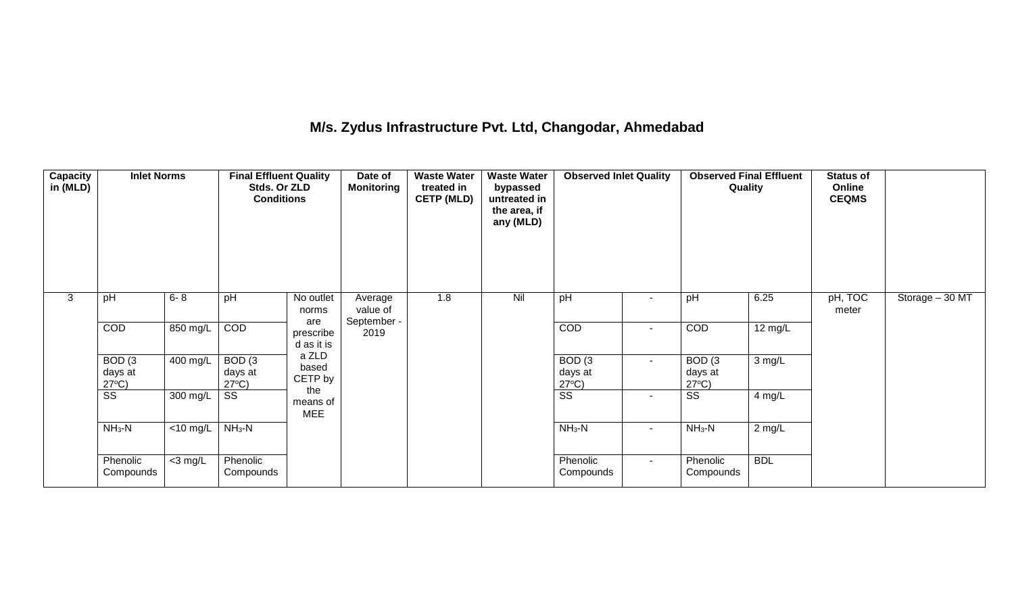## **M/s. Zydus Infrastructure Pvt. Ltd, Changodar, Ahmedabad**

| <b>Capacity</b><br>in (MLD) | <b>Inlet Norms</b>                              |             | <b>Final Effluent Quality</b><br>Stds. Or ZLD<br><b>Conditions</b> |                                | Date of<br><b>Monitoring</b> | <b>Waste Water</b><br>treated in<br><b>CETP (MLD)</b> | <b>Waste Water</b><br>bypassed<br>untreated in<br>the area, if<br>any (MLD) | <b>Observed Inlet Quality</b>                   |                | <b>Observed Final Effluent</b><br>Quality       |            | <b>Status of</b><br>Online<br><b>CEQMS</b> |                 |
|-----------------------------|-------------------------------------------------|-------------|--------------------------------------------------------------------|--------------------------------|------------------------------|-------------------------------------------------------|-----------------------------------------------------------------------------|-------------------------------------------------|----------------|-------------------------------------------------|------------|--------------------------------------------|-----------------|
| 3                           | pH                                              | $6 - 8$     | pH                                                                 | No outlet<br>norms             | Average<br>value of          | 1.8                                                   | Nil                                                                         | pH                                              | $\blacksquare$ | pH                                              | 6.25       | pH, TOC<br>meter                           | Storage - 30 MT |
|                             | COD                                             | 850 mg/L    | COD                                                                | are<br>prescribe<br>d as it is | September -<br>2019          |                                                       |                                                                             | COD                                             | ۰.             | COD                                             | 12 mg/L    |                                            |                 |
|                             | BOD <sub>(3</sub><br>days at<br>$27^{\circ}C$ ) | 400 mg/L    | BOD <sub>(3</sub><br>days at<br>$27^{\circ}C$ )                    | a ZLD<br>based<br>CETP by      |                              |                                                       |                                                                             | BOD <sub>(3</sub><br>days at<br>$27^{\circ}C$ ) | $\sim$         | BOD <sub>(3</sub><br>days at<br>$27^{\circ}C$ ) | 3 mg/L     |                                            |                 |
|                             | $\overline{\text{ss}}$                          | 300 mg/L    | SS                                                                 | the<br>means of<br><b>MEE</b>  |                              |                                                       |                                                                             | $\overline{\text{ss}}$                          | $\sim$         | $\overline{\text{SS}}$                          | 4 mg/L     |                                            |                 |
|                             | $NH3-N$                                         | $<$ 10 mg/L | $NH3-N$                                                            |                                |                              |                                                       |                                                                             | $NH3-N$                                         | $\blacksquare$ | $NH3-N$                                         | $2$ mg/L   |                                            |                 |
|                             | Phenolic<br>Compounds                           | $<$ 3 mg/L  | Phenolic<br>Compounds                                              |                                |                              |                                                       |                                                                             | Phenolic<br>Compounds                           | $\sim$         | Phenolic<br>Compounds                           | <b>BDL</b> |                                            |                 |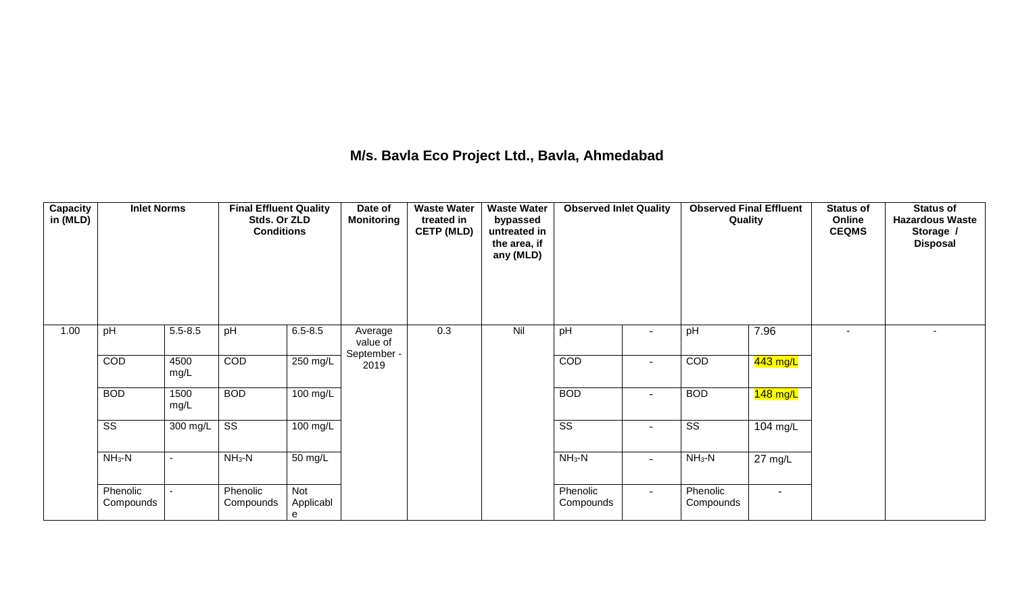## **M/s. Bavla Eco Project Ltd., Bavla, Ahmedabad**

| Capacity<br>in (MLD) | <b>Inlet Norms</b>     |                          | <b>Final Effluent Quality</b><br>Stds. Or ZLD<br><b>Conditions</b> |                       | Date of<br><b>Monitoring</b>       | <b>Waste Water</b><br>treated in<br><b>CETP (MLD)</b> | <b>Waste Water</b><br>bypassed<br>untreated in<br>the area, if<br>any (MLD) | <b>Observed Inlet Quality</b> |                          | <b>Observed Final Effluent</b><br>Quality |                   | <b>Status of</b><br>Online<br><b>CEQMS</b> | <b>Status of</b><br><b>Hazardous Waste</b><br>Storage /<br><b>Disposal</b> |
|----------------------|------------------------|--------------------------|--------------------------------------------------------------------|-----------------------|------------------------------------|-------------------------------------------------------|-----------------------------------------------------------------------------|-------------------------------|--------------------------|-------------------------------------------|-------------------|--------------------------------------------|----------------------------------------------------------------------------|
| 1.00                 | pH                     | $5.5 - 8.5$              | pH                                                                 | $6.5 - 8.5$           | Average<br>value of<br>September - | 0.3                                                   | Nil                                                                         | pH                            | $\blacksquare$           | pH                                        | 7.96              | $\overline{\phantom{a}}$                   | $\overline{\phantom{a}}$                                                   |
|                      | COD                    | 4500<br>mg/L             | COD                                                                | 250 mg/L              | 2019                               |                                                       |                                                                             | COD                           | $\blacksquare$           | COD                                       | 443 mg/L          |                                            |                                                                            |
|                      | <b>BOD</b>             | 1500<br>mg/L             | <b>BOD</b>                                                         | 100 mg/L              |                                    |                                                       |                                                                             | <b>BOD</b>                    | $\blacksquare$           | <b>BOD</b>                                | 148 mg/L          |                                            |                                                                            |
|                      | $\overline{\text{ss}}$ | 300 mg/L                 | $\overline{\text{ss}}$                                             | $100 \text{ mg/L}$    |                                    |                                                       |                                                                             | $\overline{\text{ss}}$        | $\overline{\phantom{a}}$ | $\overline{\text{ss}}$                    | 104 mg/L          |                                            |                                                                            |
|                      | $NH3-N$                | $\overline{\phantom{a}}$ | $NH3-N$                                                            | 50 mg/L               |                                    |                                                       |                                                                             | $NH_3-N$                      | $\sim$                   | $NH_3-N$                                  | $27 \text{ mg/L}$ |                                            |                                                                            |
|                      | Phenolic<br>Compounds  | $\blacksquare$           | Phenolic<br>Compounds                                              | Not<br>Applicabl<br>e |                                    |                                                       |                                                                             | Phenolic<br>Compounds         | $\sim$                   | Phenolic<br>Compounds                     | $\blacksquare$    |                                            |                                                                            |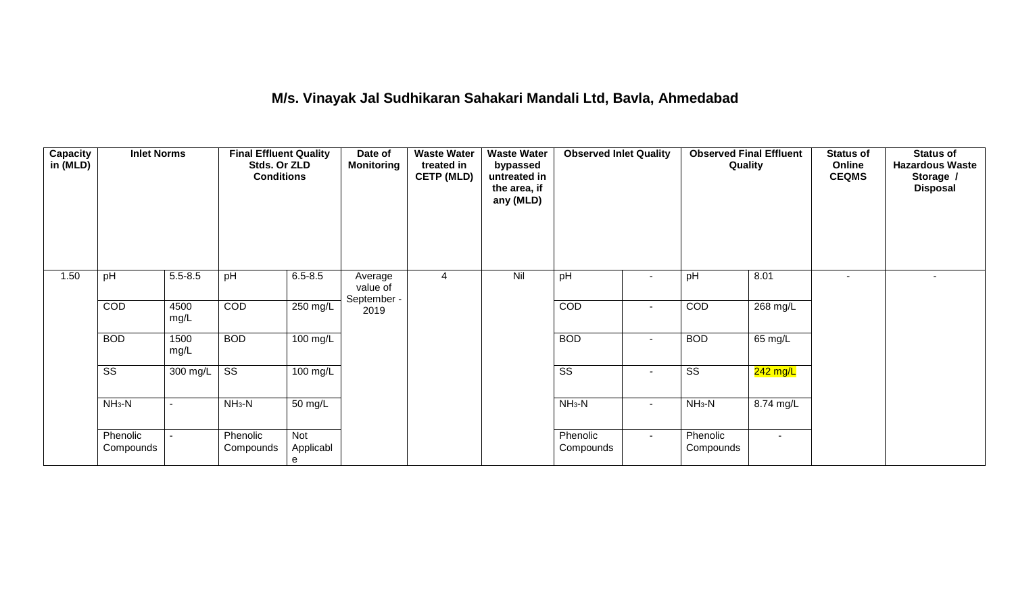## **M/s. Vinayak Jal Sudhikaran Sahakari Mandali Ltd, Bavla, Ahmedabad**

| Capacity<br>in (MLD) | <b>Inlet Norms</b>     |              | <b>Final Effluent Quality</b><br>Stds. Or ZLD<br><b>Conditions</b> |                       | Date of<br><b>Monitoring</b>       | <b>Waste Water</b><br>treated in<br><b>CETP (MLD)</b> | <b>Waste Water</b><br>bypassed<br>untreated in<br>the area, if<br>any (MLD) | <b>Observed Inlet Quality</b> |                          | <b>Observed Final Effluent</b><br>Quality |                | <b>Status of</b><br>Online<br><b>CEQMS</b> | <b>Status of</b><br><b>Hazardous Waste</b><br>Storage /<br><b>Disposal</b> |
|----------------------|------------------------|--------------|--------------------------------------------------------------------|-----------------------|------------------------------------|-------------------------------------------------------|-----------------------------------------------------------------------------|-------------------------------|--------------------------|-------------------------------------------|----------------|--------------------------------------------|----------------------------------------------------------------------------|
| 1.50                 | pH                     | $5.5 - 8.5$  | pH                                                                 | $6.5 - 8.5$           | Average<br>value of<br>September - | 4                                                     | Nil                                                                         | pH                            | $\blacksquare$           | pH                                        | 8.01           |                                            |                                                                            |
|                      | COD                    | 4500<br>mg/L | COD                                                                | $250$ mg/L            | 2019                               |                                                       |                                                                             | COD                           | $\blacksquare$           | COD                                       | 268 mg/L       |                                            |                                                                            |
|                      | <b>BOD</b>             | 1500<br>mg/L | <b>BOD</b>                                                         | 100 mg/L              |                                    |                                                       |                                                                             | <b>BOD</b>                    | $\blacksquare$           | <b>BOD</b>                                | 65 mg/L        |                                            |                                                                            |
|                      | $\overline{\text{ss}}$ | 300 mg/L     | $\overline{\text{ss}}$                                             | 100 mg/L              |                                    |                                                       |                                                                             | $\overline{\text{SS}}$        | $\overline{\phantom{a}}$ | $\overline{\text{ss}}$                    | $242$ mg/L     |                                            |                                                                            |
|                      | $NH3-N$                |              | $NH_3-N$                                                           | 50 mg/L               |                                    |                                                       |                                                                             | $NH3-N$                       | $\sim$                   | $NH3-N$                                   | 8.74 mg/L      |                                            |                                                                            |
|                      | Phenolic<br>Compounds  |              | Phenolic<br>Compounds                                              | Not<br>Applicabl<br>e |                                    |                                                       |                                                                             | Phenolic<br>Compounds         | $\sim$                   | Phenolic<br>Compounds                     | $\blacksquare$ |                                            |                                                                            |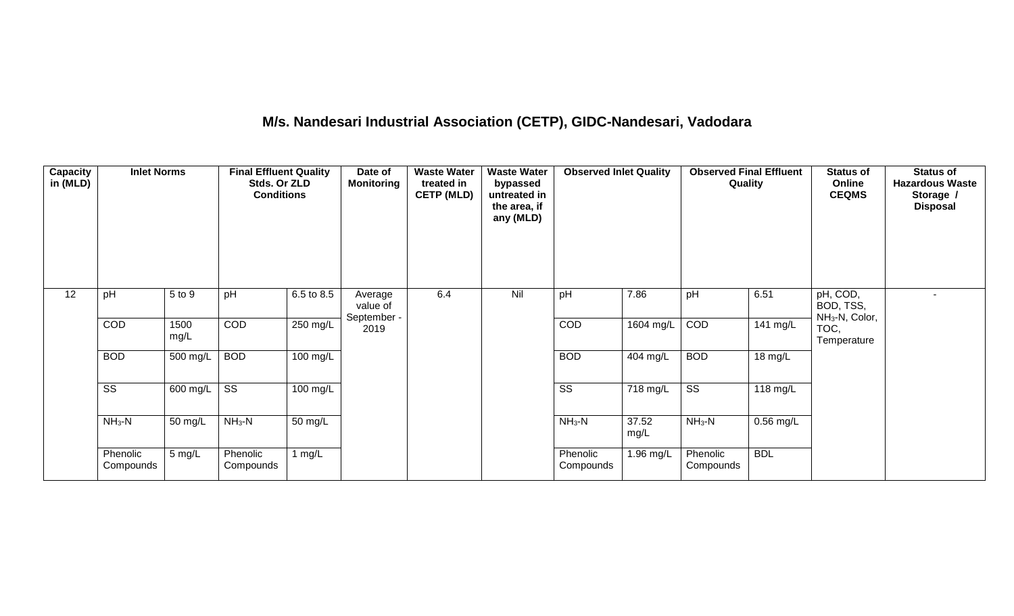# **M/s. Nandesari Industrial Association (CETP), GIDC-Nandesari, Vadodara**

| <b>Capacity</b><br>in (MLD) | <b>Inlet Norms</b>     |              | <b>Final Effluent Quality</b><br>Stds. Or ZLD<br><b>Conditions</b> |            | Date of<br><b>Monitoring</b>                     | <b>Waste Water</b><br>treated in<br><b>CETP (MLD)</b> | <b>Waste Water</b><br>bypassed<br>untreated in<br>the area, if<br>any (MLD) | <b>Observed Inlet Quality</b> |                       | Quality                | <b>Observed Final Effluent</b> | <b>Status of</b><br>Online<br><b>CEQMS</b>          | <b>Status of</b><br><b>Hazardous Waste</b><br>Storage /<br><b>Disposal</b> |
|-----------------------------|------------------------|--------------|--------------------------------------------------------------------|------------|--------------------------------------------------|-------------------------------------------------------|-----------------------------------------------------------------------------|-------------------------------|-----------------------|------------------------|--------------------------------|-----------------------------------------------------|----------------------------------------------------------------------------|
| 12                          | pH                     | 5 to 9       | pH                                                                 | 6.5 to 8.5 | Average<br>value of<br>September -               | 6.4                                                   | Nil                                                                         | pH                            | 7.86                  | pH                     | 6.51                           | pH, COD,<br>BOD, TSS,<br>NH <sub>3</sub> -N, Color, |                                                                            |
|                             | COD                    | 1500<br>mg/L | COD                                                                | 250 mg/L   | 2019                                             |                                                       |                                                                             | COD                           | 1604 mg/L             | COD                    | 141 mg/L                       | TOC,<br>Temperature                                 |                                                                            |
|                             | <b>BOD</b>             | 500 mg/L     | <b>BOD</b>                                                         | $100$ mg/L |                                                  |                                                       |                                                                             | <b>BOD</b>                    | 404 mg/L              | <b>BOD</b>             | 18 mg/L                        |                                                     |                                                                            |
|                             | $\overline{\text{ss}}$ | 600 mg/L     | $\overline{\text{ss}}$                                             | 100 mg/L   |                                                  |                                                       |                                                                             | $\overline{\text{ss}}$        | $\overline{718}$ mg/L | $\overline{\text{ss}}$ | $118 \text{ mg/L}$             |                                                     |                                                                            |
|                             | $NH3-N$                | 50 mg/L      | $NH3-N$                                                            | 50 mg/L    | $NH3-N$<br>37.52<br>$NH3-N$<br>0.56 mg/L<br>mg/L |                                                       |                                                                             |                               |                       |                        |                                |                                                     |                                                                            |
|                             | Phenolic<br>Compounds  | 5 mg/L       | Phenolic<br>Compounds                                              | 1 $mg/L$   |                                                  |                                                       |                                                                             | Phenolic<br>Compounds         | 1.96 mg/L             | Phenolic<br>Compounds  | <b>BDL</b>                     |                                                     |                                                                            |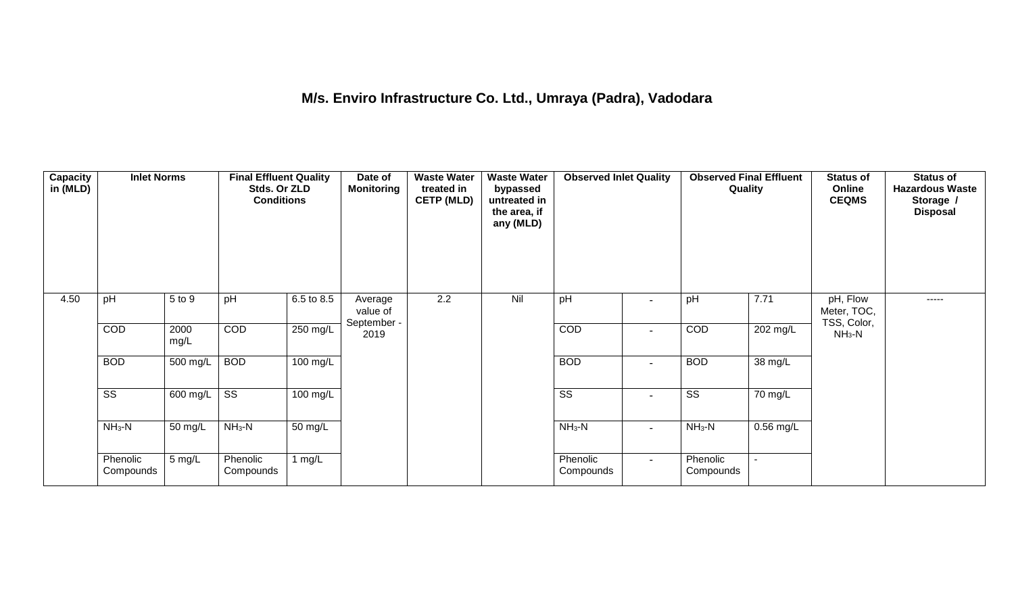## **M/s. Enviro Infrastructure Co. Ltd., Umraya (Padra), Vadodara**

| Capacity<br>in (MLD) | <b>Inlet Norms</b>     |              | <b>Final Effluent Quality</b><br>Stds. Or ZLD<br><b>Conditions</b> |                    | Date of<br><b>Monitoring</b>       | <b>Waste Water</b><br>treated in<br><b>CETP (MLD)</b> | <b>Waste Water</b><br>bypassed<br>untreated in<br>the area, if<br>any (MLD) | <b>Observed Inlet Quality</b> |                          | <b>Observed Final Effluent</b><br>Quality |                | <b>Status of</b><br>Online<br><b>CEQMS</b> | <b>Status of</b><br><b>Hazardous Waste</b><br>Storage /<br><b>Disposal</b> |
|----------------------|------------------------|--------------|--------------------------------------------------------------------|--------------------|------------------------------------|-------------------------------------------------------|-----------------------------------------------------------------------------|-------------------------------|--------------------------|-------------------------------------------|----------------|--------------------------------------------|----------------------------------------------------------------------------|
| 4.50                 | pH                     | 5 to 9       | pH                                                                 | 6.5 to 8.5         | Average<br>value of<br>September - | 2.2                                                   | Nil                                                                         | pH                            | $\blacksquare$           | pH                                        | 7.71           | pH, Flow<br>Meter, TOC,<br>TSS, Color,     | $- - - - -$                                                                |
|                      | COD                    | 2000<br>mg/L | COD                                                                | $250 \text{ mg/L}$ | 2019                               |                                                       |                                                                             | COD                           | $\overline{\phantom{a}}$ | COD                                       | 202 mg/L       | $NH3-N$                                    |                                                                            |
|                      | <b>BOD</b>             | 500 mg/L     | <b>BOD</b>                                                         | 100 mg/L           |                                    |                                                       |                                                                             | <b>BOD</b>                    | $\overline{\phantom{a}}$ | <b>BOD</b>                                | 38 mg/L        |                                            |                                                                            |
|                      | $\overline{\text{ss}}$ | 600 mg/L     | $\overline{\text{ss}}$                                             | $100$ mg/L         |                                    |                                                       |                                                                             | $\overline{\text{ss}}$        | $\overline{\phantom{a}}$ | $\overline{\text{ss}}$                    | 70 mg/L        |                                            |                                                                            |
|                      | $NH3-N$                | 50 mg/L      | $NH3-N$                                                            | 50 mg/L            |                                    |                                                       |                                                                             | $NH_3-N$                      | $\overline{\phantom{a}}$ | $NH3-N$                                   | $0.56$ mg/L    |                                            |                                                                            |
|                      | Phenolic<br>Compounds  | 5 mg/L       | Phenolic<br>Compounds                                              | 1 $mg/L$           |                                    |                                                       |                                                                             | Phenolic<br>Compounds         | $\sim$                   | Phenolic<br>Compounds                     | $\blacksquare$ |                                            |                                                                            |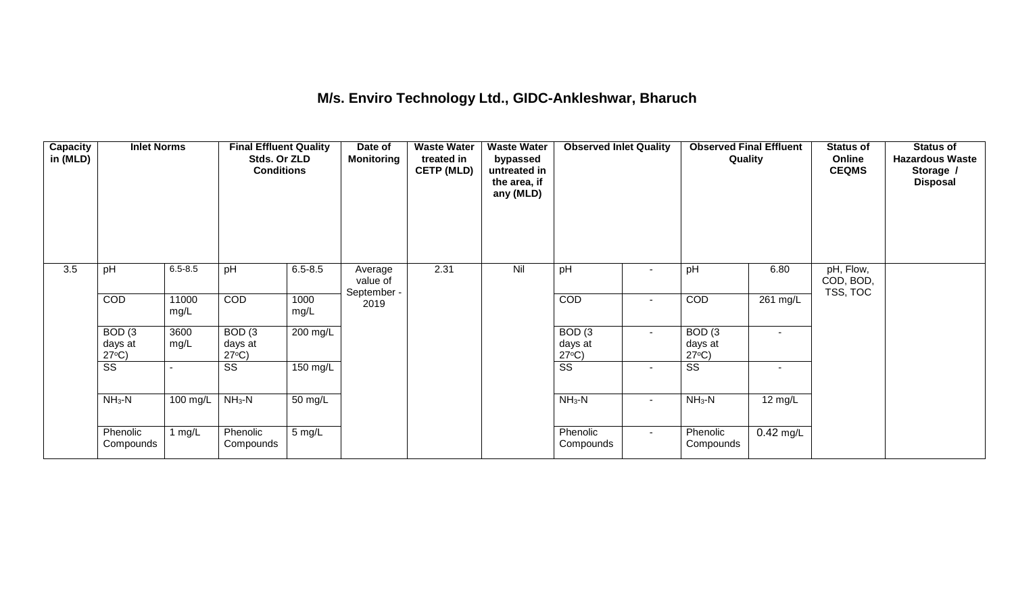### **M/s. Enviro Technology Ltd., GIDC-Ankleshwar, Bharuch**

| Capacity<br>in (MLD) | <b>Inlet Norms</b>                              |               | <b>Final Effluent Quality</b><br>Stds. Or ZLD<br><b>Conditions</b> |              | Date of<br><b>Monitoring</b> | <b>Waste Water</b><br>treated in<br><b>CETP (MLD)</b> | <b>Waste Water</b><br>bypassed<br>untreated in<br>the area, if<br>any (MLD) | <b>Observed Inlet Quality</b>        |              | <b>Observed Final Effluent</b><br>Quality       |                          | <b>Status of</b><br>Online<br><b>CEQMS</b> | <b>Status of</b><br><b>Hazardous Waste</b><br>Storage /<br><b>Disposal</b> |
|----------------------|-------------------------------------------------|---------------|--------------------------------------------------------------------|--------------|------------------------------|-------------------------------------------------------|-----------------------------------------------------------------------------|--------------------------------------|--------------|-------------------------------------------------|--------------------------|--------------------------------------------|----------------------------------------------------------------------------|
| 3.5                  | pH                                              | $6.5 - 8.5$   | pH                                                                 | $6.5 - 8.5$  | Average<br>value of          | 2.31                                                  | Nil                                                                         | pH                                   | $\sim$       | pH                                              | 6.80                     | pH, Flow,<br>COD, BOD,                     |                                                                            |
|                      | COD                                             | 11000<br>mg/L | COD                                                                | 1000<br>mg/L | September -<br>2019          |                                                       |                                                                             | <b>COD</b>                           | $\sim$       | COD                                             | 261 mg/L                 | TSS, TOC                                   |                                                                            |
|                      | BOD <sub>(3</sub><br>days at<br>$27^{\circ}C$ ) | 3600<br>mg/L  | BOD <sub>(3</sub><br>days at<br>$27^{\circ}C$ )                    | $200$ mg/L   |                              |                                                       |                                                                             | BOD(3)<br>days at<br>$27^{\circ}C$ ) | $\sim$       | BOD <sub>(3</sub><br>days at<br>$27^{\circ}C$ ) |                          |                                            |                                                                            |
|                      | $\overline{\text{ss}}$                          |               | $\overline{\text{SS}}$                                             | $150$ mg/L   |                              |                                                       |                                                                             | $\overline{\text{ss}}$               | $\sim$       | $\overline{\text{SS}}$                          | $\overline{\phantom{a}}$ |                                            |                                                                            |
|                      | $NH3-N$                                         | 100 mg/L      | $NH3-N$                                                            | 50 mg/L      |                              |                                                       |                                                                             | $NH_3-N$                             | $\mathbf{r}$ | $NH_3-N$                                        | $12$ mg/L                |                                            |                                                                            |
|                      | Phenolic<br>Compounds                           | 1 $mg/L$      | Phenolic<br>Compounds                                              | 5 mg/L       |                              |                                                       |                                                                             | Phenolic<br>Compounds                | $\sim$       | Phenolic<br>Compounds                           | $0.42$ mg/L              |                                            |                                                                            |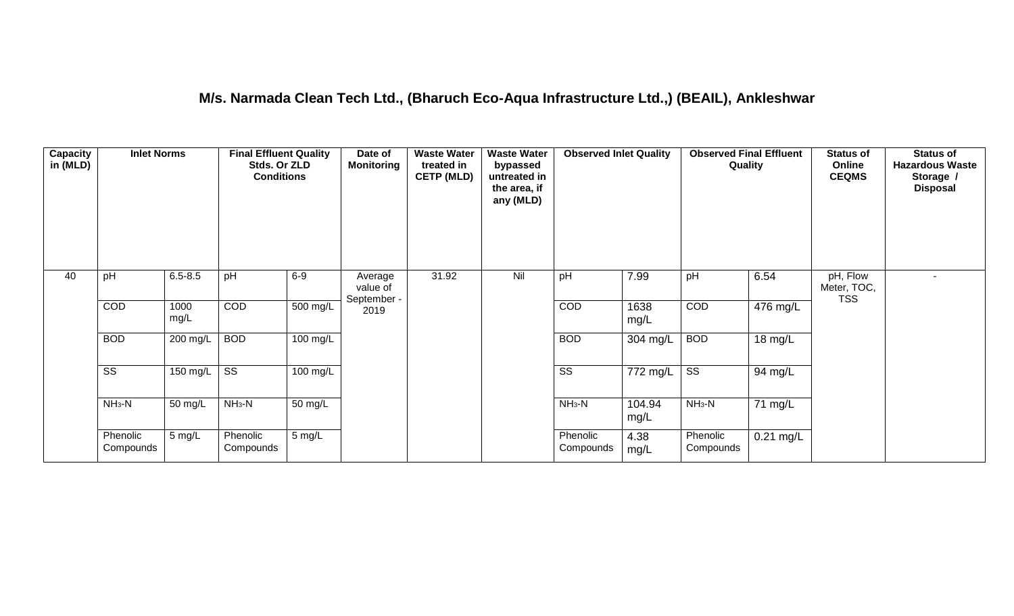### **M/s. Narmada Clean Tech Ltd., (Bharuch Eco-Aqua Infrastructure Ltd.,) (BEAIL), Ankleshwar**

| <b>Capacity</b><br>in (MLD) | <b>Inlet Norms</b>     |              | <b>Final Effluent Quality</b><br>Stds. Or ZLD<br><b>Conditions</b> |                    | Date of<br><b>Monitoring</b>       | <b>Waste Water</b><br>treated in<br><b>CETP (MLD)</b> | <b>Waste Water</b><br>bypassed<br>untreated in<br>the area, if<br>any (MLD) | <b>Observed Inlet Quality</b> |                | <b>Observed Final Effluent</b><br>Quality |             | <b>Status of</b><br>Online<br><b>CEQMS</b> | <b>Status of</b><br><b>Hazardous Waste</b><br>Storage /<br><b>Disposal</b> |
|-----------------------------|------------------------|--------------|--------------------------------------------------------------------|--------------------|------------------------------------|-------------------------------------------------------|-----------------------------------------------------------------------------|-------------------------------|----------------|-------------------------------------------|-------------|--------------------------------------------|----------------------------------------------------------------------------|
| 40                          | pH                     | $6.5 - 8.5$  | pH                                                                 | $6-9$              | Average<br>value of<br>September - | 31.92                                                 | Nil                                                                         | pH                            | 7.99           | pH                                        | 6.54        | pH, Flow<br>Meter, TOC,<br><b>TSS</b>      |                                                                            |
|                             | COD                    | 1000<br>mg/L | COD                                                                | 500 mg/L           | 2019                               |                                                       |                                                                             | COD                           | 1638<br>mg/L   | COD                                       | 476 mg/L    |                                            |                                                                            |
|                             | <b>BOD</b>             | 200 mg/L     | <b>BOD</b>                                                         | 100 mg/L           |                                    |                                                       |                                                                             | <b>BOD</b>                    | 304 mg/L       | <b>BOD</b>                                | 18 mg/L     |                                            |                                                                            |
|                             | $\overline{\text{ss}}$ | 150 mg/L     | $\overline{\text{ss}}$                                             | $100 \text{ mg/L}$ |                                    |                                                       |                                                                             | $\overline{\text{ss}}$        | 772 mg/L       | $\overline{\text{ss}}$                    | 94 mg/L     |                                            |                                                                            |
|                             | $NH3-N$                | 50 mg/L      | $NH3-N$                                                            | $50 \text{ mg/L}$  |                                    |                                                       |                                                                             | $NH_3-N$                      | 104.94<br>mg/L | $NH3-N$                                   | 71 mg/L     |                                            |                                                                            |
|                             | Phenolic<br>Compounds  | 5 mg/L       | Phenolic<br>Compounds                                              | $5 \text{ mg/L}$   |                                    |                                                       |                                                                             | Phenolic<br>Compounds         | 4.38<br>mg/L   | Phenolic<br>Compounds                     | $0.21$ mg/L |                                            |                                                                            |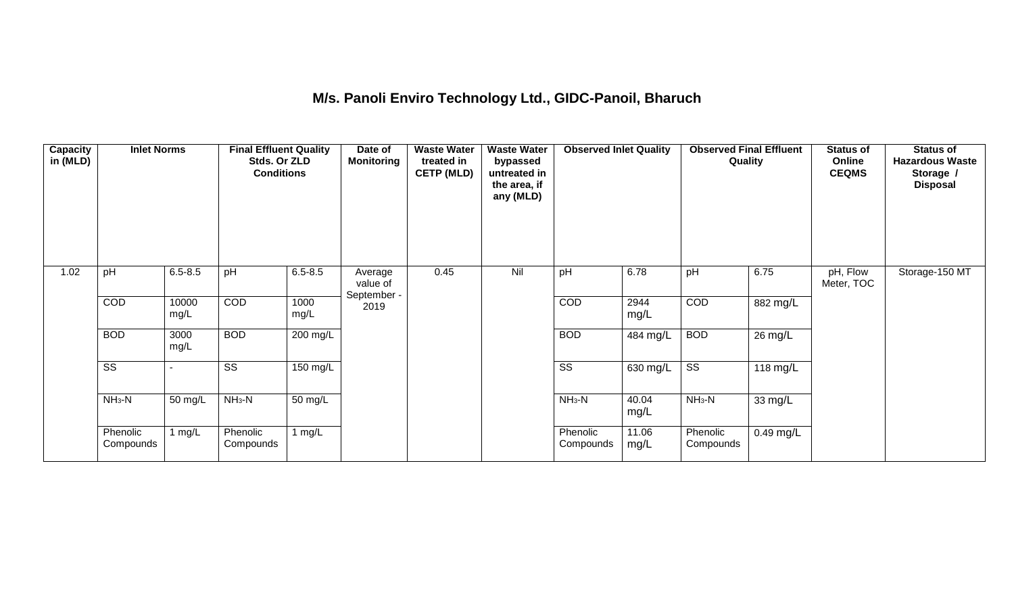## **M/s. Panoli Enviro Technology Ltd., GIDC-Panoil, Bharuch**

| Capacity<br>in (MLD) | <b>Inlet Norms</b>     |               | <b>Final Effluent Quality</b><br>Stds. Or ZLD<br><b>Conditions</b> |              | Date of<br><b>Monitoring</b>       | <b>Waste Water</b><br>treated in<br><b>CETP (MLD)</b> | <b>Waste Water</b><br>bypassed<br>untreated in<br>the area, if<br>any (MLD) | <b>Observed Inlet Quality</b> |               | <b>Observed Final Effluent</b><br>Quality |             | <b>Status of</b><br>Online<br><b>CEQMS</b> | <b>Status of</b><br><b>Hazardous Waste</b><br>Storage /<br><b>Disposal</b> |
|----------------------|------------------------|---------------|--------------------------------------------------------------------|--------------|------------------------------------|-------------------------------------------------------|-----------------------------------------------------------------------------|-------------------------------|---------------|-------------------------------------------|-------------|--------------------------------------------|----------------------------------------------------------------------------|
| 1.02                 | pH                     | $6.5 - 8.5$   | pH                                                                 | $6.5 - 8.5$  | Average<br>value of<br>September - | 0.45                                                  | Nil                                                                         | pH                            | 6.78          | pH                                        | 6.75        | pH, Flow<br>Meter, TOC                     | Storage-150 MT                                                             |
|                      | COD                    | 10000<br>mg/L | <b>COD</b>                                                         | 1000<br>mg/L | 2019                               |                                                       |                                                                             | COD                           | 2944<br>mg/L  | COD                                       | 882 mg/L    |                                            |                                                                            |
|                      | <b>BOD</b>             | 3000<br>mg/L  | <b>BOD</b>                                                         | 200 mg/L     |                                    |                                                       |                                                                             | <b>BOD</b>                    | 484 mg/L      | <b>BOD</b>                                | 26 mg/L     |                                            |                                                                            |
|                      | $\overline{\text{ss}}$ |               | SS                                                                 | 150 mg/L     |                                    |                                                       |                                                                             | $\overline{\text{SS}}$        | 630 mg/L      | $\overline{\text{ss}}$                    | 118 mg/L    |                                            |                                                                            |
|                      | $NH3-N$                | 50 mg/L       | $NH3-N$                                                            | 50 mg/L      |                                    |                                                       |                                                                             | $NH3-N$                       | 40.04<br>mg/L | $NH3-N$                                   | 33 mg/L     |                                            |                                                                            |
|                      | Phenolic<br>Compounds  | 1 $mg/L$      | Phenolic<br>Compounds                                              | 1 $mg/L$     |                                    |                                                       |                                                                             | Phenolic<br>Compounds         | 11.06<br>mg/L | Phenolic<br>Compounds                     | $0.49$ mg/L |                                            |                                                                            |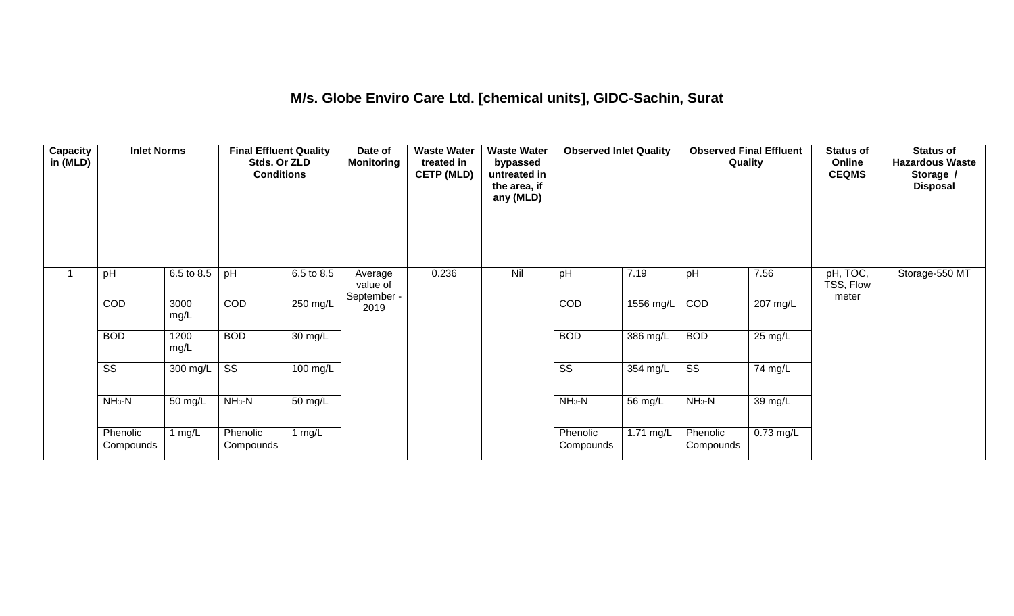### **M/s. Globe Enviro Care Ltd. [chemical units], GIDC-Sachin, Surat**

| Capacity<br>in (MLD) | <b>Inlet Norms</b>     |              | <b>Final Effluent Quality</b><br>Stds. Or ZLD<br><b>Conditions</b> |                      | Date of<br><b>Monitoring</b>       | <b>Waste Water</b><br>treated in<br><b>CETP (MLD)</b> | <b>Waste Water</b><br>bypassed<br>untreated in<br>the area, if<br>any (MLD) | <b>Observed Inlet Quality</b> |             | <b>Observed Final Effluent</b><br>Quality |             | <b>Status of</b><br>Online<br><b>CEQMS</b> | <b>Status of</b><br><b>Hazardous Waste</b><br>Storage /<br><b>Disposal</b> |
|----------------------|------------------------|--------------|--------------------------------------------------------------------|----------------------|------------------------------------|-------------------------------------------------------|-----------------------------------------------------------------------------|-------------------------------|-------------|-------------------------------------------|-------------|--------------------------------------------|----------------------------------------------------------------------------|
|                      | pH                     | 6.5 to 8.5   | pH                                                                 | 6.5 to 8.5           | Average<br>value of<br>September - | 0.236                                                 | Nil                                                                         | pH                            | 7.19        | pH                                        | 7.56        | pH, TOC,<br>TSS, Flow<br>meter             | Storage-550 MT                                                             |
|                      | COD                    | 3000<br>mg/L | COD                                                                | 250 mg/L             | 2019                               |                                                       |                                                                             | COD                           | 1556 mg/L   | COD                                       | 207 mg/L    |                                            |                                                                            |
|                      | <b>BOD</b>             | 1200<br>mg/L | <b>BOD</b>                                                         | $\overline{30}$ mg/L |                                    |                                                       |                                                                             | <b>BOD</b>                    | 386 mg/L    | <b>BOD</b>                                | 25 mg/L     |                                            |                                                                            |
|                      | $\overline{\text{ss}}$ | $300$ mg/L   | $\overline{\text{ss}}$                                             | $100$ mg/L           |                                    |                                                       |                                                                             | $\overline{\text{ss}}$        | 354 mg/L    | $\overline{\text{ss}}$                    | 74 mg/L     |                                            |                                                                            |
|                      | $NH3-N$                | 50 mg/L      | $NH3-N$                                                            | 50 mg/L              |                                    |                                                       |                                                                             | $NH3-N$                       | 56 mg/L     | $NH3-N$                                   | 39 mg/L     |                                            |                                                                            |
|                      | Phenolic<br>Compounds  | 1 mg/L       | Phenolic<br>Compounds                                              | 1 mg/L               |                                    |                                                       |                                                                             | Phenolic<br>Compounds         | $1.71$ mg/L | Phenolic<br>Compounds                     | $0.73$ mg/L |                                            |                                                                            |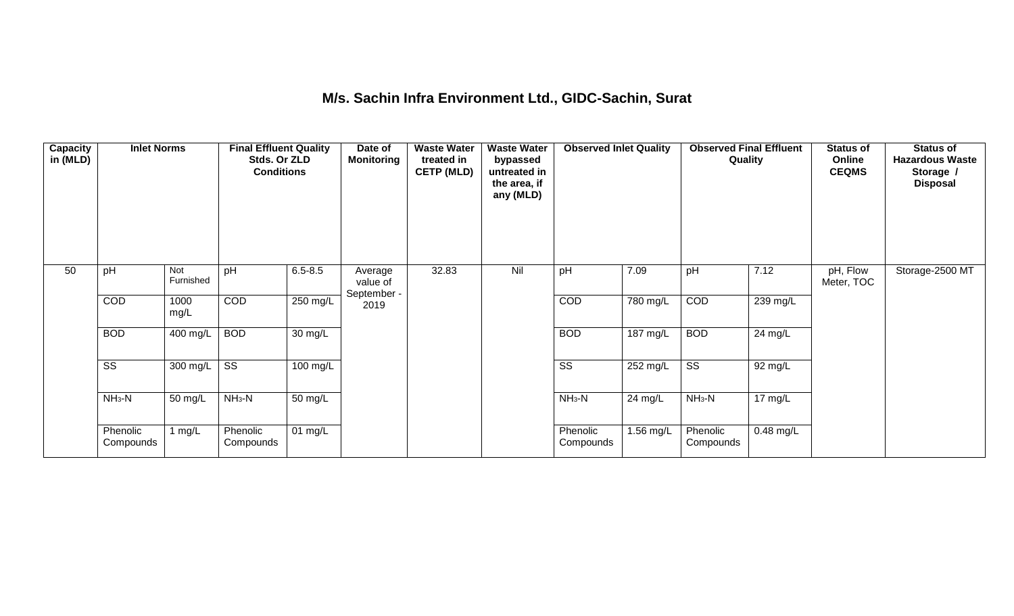### **M/s. Sachin Infra Environment Ltd., GIDC-Sachin, Surat**

| Capacity<br>in (MLD) | <b>Inlet Norms</b>     |                  | <b>Final Effluent Quality</b><br>Stds. Or ZLD<br><b>Conditions</b> |                      | Date of<br><b>Monitoring</b>       | <b>Waste Water</b><br>treated in<br><b>CETP (MLD)</b> | <b>Waste Water</b><br>bypassed<br>untreated in<br>the area, if<br>any (MLD) | <b>Observed Inlet Quality</b> |                       | <b>Observed Final Effluent</b><br>Quality |             | <b>Status of</b><br>Online<br><b>CEQMS</b> | <b>Status of</b><br><b>Hazardous Waste</b><br>Storage /<br><b>Disposal</b> |
|----------------------|------------------------|------------------|--------------------------------------------------------------------|----------------------|------------------------------------|-------------------------------------------------------|-----------------------------------------------------------------------------|-------------------------------|-----------------------|-------------------------------------------|-------------|--------------------------------------------|----------------------------------------------------------------------------|
| 50                   | pH                     | Not<br>Furnished | pH                                                                 | $6.5 - 8.5$          | Average<br>value of<br>September - | 32.83                                                 | Nil                                                                         | pH                            | 7.09                  | pH                                        | 7.12        | pH, Flow<br>Meter, TOC                     | Storage-2500 MT                                                            |
|                      | COD                    | 1000<br>mg/L     | <b>COD</b>                                                         | 250 mg/L             | 2019                               |                                                       |                                                                             | COD                           | 780 mg/L              | COD                                       | 239 mg/L    |                                            |                                                                            |
|                      | <b>BOD</b>             | 400 mg/L         | <b>BOD</b>                                                         | $\overline{30}$ mg/L |                                    |                                                       |                                                                             | <b>BOD</b>                    | $\overline{187}$ mg/L | <b>BOD</b>                                | 24 mg/L     |                                            |                                                                            |
|                      | $\overline{\text{ss}}$ | 300 mg/L         | $\overline{\text{SS}}$                                             | $100 \text{ mg/L}$   |                                    |                                                       |                                                                             | $\overline{\text{SS}}$        | 252 mg/L              | $\overline{\text{ss}}$                    | 92 mg/L     |                                            |                                                                            |
|                      | $NH3-N$                | 50 mg/L          | $NH3-N$                                                            | $\overline{50}$ mg/L |                                    |                                                       |                                                                             | $NH3-N$                       | 24 mg/L               | $NH3-N$                                   | 17 mg/L     |                                            |                                                                            |
|                      | Phenolic<br>Compounds  | 1 $mg/L$         | Phenolic<br>Compounds                                              | 01 mg/L              |                                    |                                                       |                                                                             | Phenolic<br>Compounds         | 1.56 mg/L             | Phenolic<br>Compounds                     | $0.48$ mg/L |                                            |                                                                            |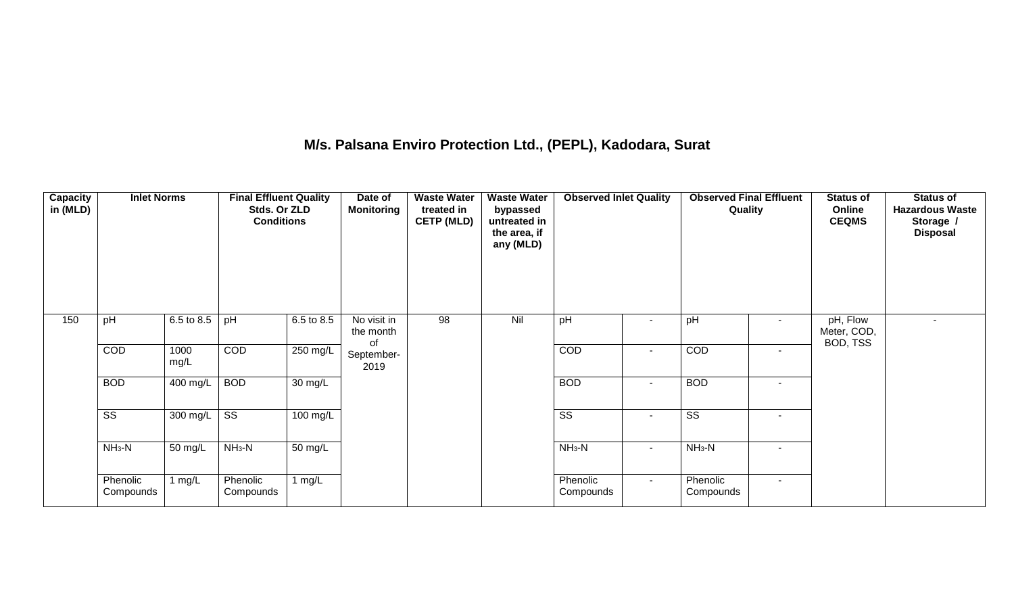## **M/s. Palsana Enviro Protection Ltd., (PEPL), Kadodara, Surat**

| Capacity<br>in (MLD) | <b>Inlet Norms</b>     |              | <b>Final Effluent Quality</b><br>Stds. Or ZLD<br><b>Conditions</b> |                    | Date of<br><b>Monitoring</b>   | <b>Waste Water</b><br>treated in<br><b>CETP (MLD)</b> | <b>Waste Water</b><br>bypassed<br>untreated in<br>the area, if<br>any (MLD) | <b>Observed Inlet Quality</b> |        | <b>Observed Final Effluent</b><br>Quality |                          | <b>Status of</b><br>Online<br><b>CEQMS</b> | <b>Status of</b><br><b>Hazardous Waste</b><br>Storage /<br><b>Disposal</b> |
|----------------------|------------------------|--------------|--------------------------------------------------------------------|--------------------|--------------------------------|-------------------------------------------------------|-----------------------------------------------------------------------------|-------------------------------|--------|-------------------------------------------|--------------------------|--------------------------------------------|----------------------------------------------------------------------------|
| 150                  | pH                     | 6.5 to 8.5   | pH                                                                 | 6.5 to 8.5         | No visit in<br>the month<br>οf | 98                                                    | Nil                                                                         | pH                            | $\sim$ | pH                                        | $\sim$                   | pH, Flow<br>Meter, COD,<br>BOD, TSS        | $\sim$                                                                     |
|                      | COD                    | 1000<br>mg/L | COD                                                                | $250 \text{ mg/L}$ | September-<br>2019             |                                                       |                                                                             | COD                           | $\sim$ | COD                                       | $\sim$                   |                                            |                                                                            |
|                      | <b>BOD</b>             | 400 mg/L     | <b>BOD</b>                                                         | 30 mg/L            |                                |                                                       |                                                                             | <b>BOD</b>                    | $\sim$ | <b>BOD</b>                                | $\sim$                   |                                            |                                                                            |
|                      | $\overline{\text{ss}}$ | 300 mg/L     | $\overline{\text{ss}}$                                             | $100$ mg/L         |                                |                                                       |                                                                             | $\overline{\text{ss}}$        | $\sim$ | $\overline{\text{ss}}$                    | $\overline{\phantom{a}}$ |                                            |                                                                            |
|                      | $NH3-N$                | 50 mg/L      | $NH3-N$                                                            | 50 mg/L            |                                |                                                       |                                                                             | $NH3-N$                       | $\sim$ | $NH_3-N$                                  |                          |                                            |                                                                            |
|                      | Phenolic<br>Compounds  | 1 $mg/L$     | Phenolic<br>Compounds                                              | 1 $mg/L$           |                                |                                                       |                                                                             | Phenolic<br>Compounds         | $\sim$ | Phenolic<br>Compounds                     | $\sim$                   |                                            |                                                                            |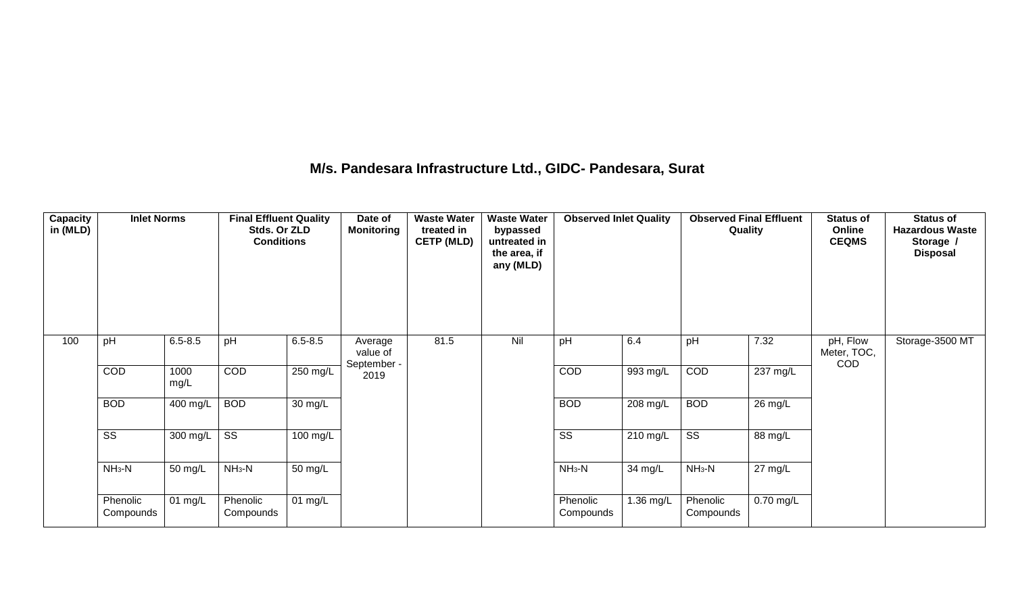### **M/s. Pandesara Infrastructure Ltd., GIDC- Pandesara, Surat**

| Capacity<br>in (MLD) | <b>Inlet Norms</b>     |              | <b>Final Effluent Quality</b><br>Stds. Or ZLD<br><b>Conditions</b> |                    | Date of<br><b>Monitoring</b>       | <b>Waste Water</b><br>treated in<br><b>CETP (MLD)</b> | <b>Waste Water</b><br>bypassed<br>untreated in<br>the area, if<br>any (MLD) | <b>Observed Inlet Quality</b> |           | <b>Observed Final Effluent</b><br>Quality |                    | <b>Status of</b><br>Online<br><b>CEQMS</b> | <b>Status of</b><br><b>Hazardous Waste</b><br>Storage /<br><b>Disposal</b> |
|----------------------|------------------------|--------------|--------------------------------------------------------------------|--------------------|------------------------------------|-------------------------------------------------------|-----------------------------------------------------------------------------|-------------------------------|-----------|-------------------------------------------|--------------------|--------------------------------------------|----------------------------------------------------------------------------|
| 100                  | pH                     | $6.5 - 8.5$  | pH                                                                 | $6.5 - 8.5$        | Average<br>value of<br>September - | 81.5                                                  | Nil                                                                         | pH                            | 6.4       | pH                                        | 7.32               | pH, Flow<br>Meter, TOC,<br>COD             | Storage-3500 MT                                                            |
|                      | COD                    | 1000<br>mg/L | COD                                                                | 250 mg/L           | 2019                               |                                                       |                                                                             | COD                           | 993 mg/L  | COD                                       | $237 \text{ mg/L}$ |                                            |                                                                            |
|                      | <b>BOD</b>             | 400 mg/L     | <b>BOD</b>                                                         | 30 mg/L            |                                    |                                                       |                                                                             | <b>BOD</b>                    | 208 mg/L  | <b>BOD</b>                                | 26 mg/L            |                                            |                                                                            |
|                      | $\overline{\text{SS}}$ | 300 mg/L     | $\overline{\text{SS}}$                                             | $100 \text{ mg/L}$ |                                    |                                                       |                                                                             | $\overline{\text{SS}}$        | 210 mg/L  | $\overline{\text{ss}}$                    | 88 mg/L            |                                            |                                                                            |
|                      | $NH3-N$                | 50 mg/L      | $NH_3-N$                                                           | 50 mg/L            |                                    |                                                       |                                                                             | $NH_3-N$                      | 34 mg/L   | $NH3-N$                                   | $27 \text{ mg/L}$  |                                            |                                                                            |
|                      | Phenolic<br>Compounds  | 01 mg/L      | Phenolic<br>Compounds                                              | 01 mg/L            |                                    |                                                       |                                                                             | Phenolic<br>Compounds         | 1.36 mg/L | Phenolic<br>Compounds                     | $0.70$ mg/L        |                                            |                                                                            |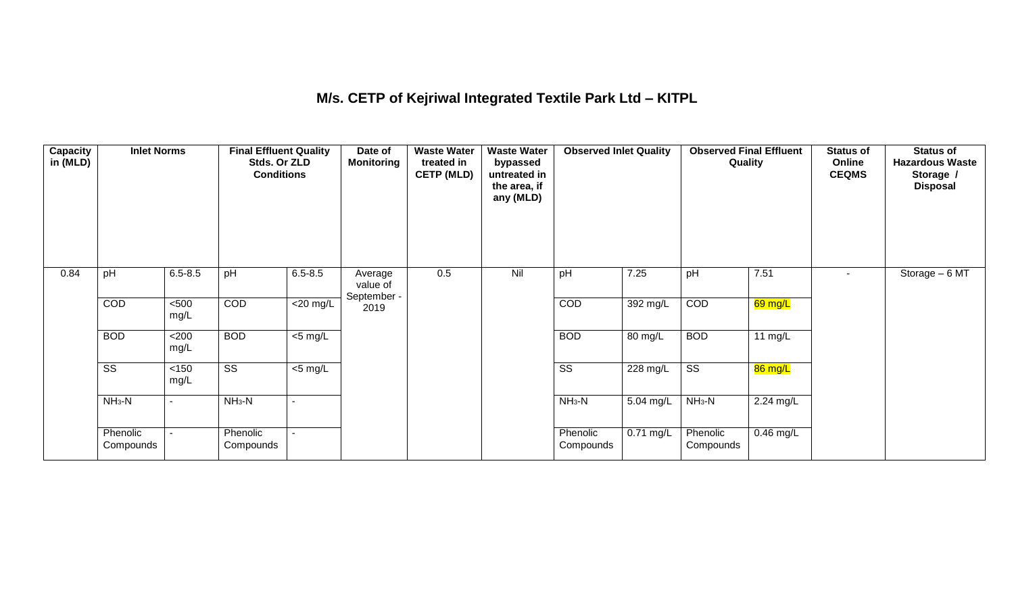## **M/s. CETP of Kejriwal Integrated Textile Park Ltd – KITPL**

| <b>Capacity</b><br>in (MLD) | <b>Inlet Norms</b>     |                | <b>Final Effluent Quality</b><br>Stds. Or ZLD<br><b>Conditions</b> |                     | Date of<br>Monitoring              | <b>Waste Water</b><br>treated in<br><b>CETP (MLD)</b> | <b>Waste Water</b><br>bypassed<br>untreated in<br>the area, if<br>any (MLD) | <b>Observed Inlet Quality</b> |             | <b>Observed Final Effluent</b><br>Quality |             | <b>Status of</b><br>Online<br><b>CEQMS</b> | <b>Status of</b><br><b>Hazardous Waste</b><br>Storage /<br><b>Disposal</b> |
|-----------------------------|------------------------|----------------|--------------------------------------------------------------------|---------------------|------------------------------------|-------------------------------------------------------|-----------------------------------------------------------------------------|-------------------------------|-------------|-------------------------------------------|-------------|--------------------------------------------|----------------------------------------------------------------------------|
| 0.84                        | pH                     | $6.5 - 8.5$    | pH                                                                 | $6.5 - 8.5$         | Average<br>value of<br>September - | 0.5                                                   | Nil                                                                         | pH                            | 7.25        | pH                                        | 7.51        | $\sim$                                     | Storage - 6 MT                                                             |
|                             | COD                    | $500$<br>mg/L  | COD                                                                | $<$ 20 mg/L         | 2019                               |                                                       |                                                                             | COD                           | 392 mg/L    | COD                                       | 69 mg/L     |                                            |                                                                            |
|                             | <b>BOD</b>             | <200<br>mg/L   | <b>BOD</b>                                                         | $\overline{5}$ mg/L |                                    |                                                       |                                                                             | <b>BOD</b>                    | 80 mg/L     | <b>BOD</b>                                | 11 mg/L     |                                            |                                                                            |
|                             | $\overline{\text{ss}}$ | $<150$<br>mg/L | $\overline{\text{ss}}$                                             | $\overline{5}$ mg/L |                                    |                                                       |                                                                             | $\overline{\text{ss}}$        | 228 mg/L    | $\overline{\text{ss}}$                    | 86 mg/L     |                                            |                                                                            |
|                             | $NH_3-N$               | $\blacksquare$ | $NH3-N$                                                            |                     |                                    |                                                       |                                                                             | $NH3-N$                       | 5.04 mg/L   | $NH_3-N$                                  | 2.24 mg/L   |                                            |                                                                            |
|                             | Phenolic<br>Compounds  | $\blacksquare$ | Phenolic<br>Compounds                                              |                     |                                    |                                                       |                                                                             | Phenolic<br>Compounds         | $0.71$ mg/L | Phenolic<br>Compounds                     | $0.46$ mg/L |                                            |                                                                            |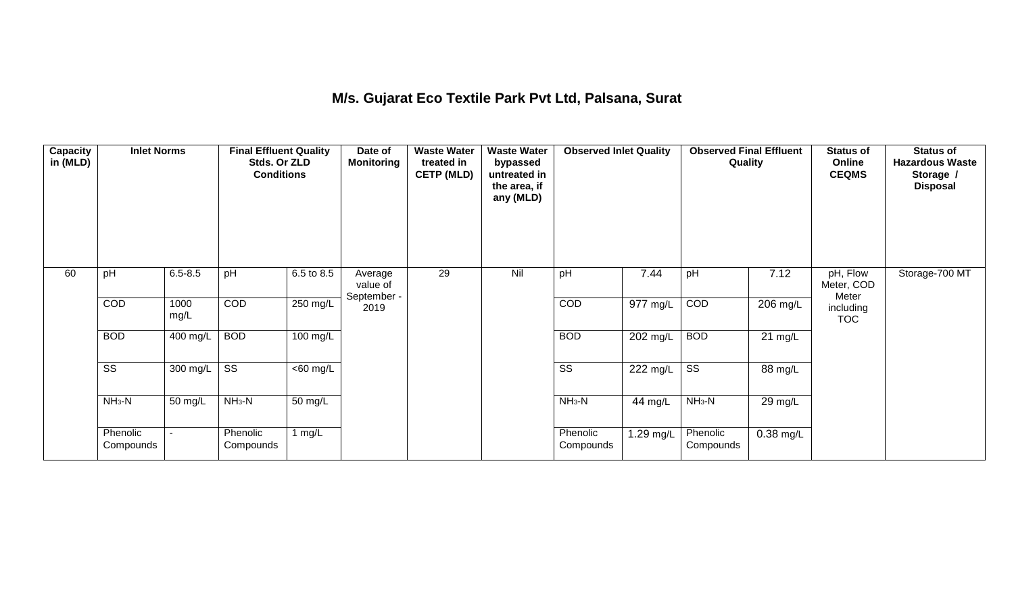## **M/s. Gujarat Eco Textile Park Pvt Ltd, Palsana, Surat**

| Capacity<br>in (MLD) | <b>Inlet Norms</b>     |              | <b>Final Effluent Quality</b><br>Stds. Or ZLD<br><b>Conditions</b> |                       | Date of<br>Monitoring              | <b>Waste Water</b><br>treated in<br><b>CETP (MLD)</b> | <b>Waste Water</b><br>bypassed<br>untreated in<br>the area, if<br>any (MLD) | <b>Observed Inlet Quality</b> |           | <b>Observed Final Effluent</b><br>Quality |                   | <b>Status of</b><br>Online<br><b>CEQMS</b> | <b>Status of</b><br><b>Hazardous Waste</b><br>Storage /<br><b>Disposal</b> |
|----------------------|------------------------|--------------|--------------------------------------------------------------------|-----------------------|------------------------------------|-------------------------------------------------------|-----------------------------------------------------------------------------|-------------------------------|-----------|-------------------------------------------|-------------------|--------------------------------------------|----------------------------------------------------------------------------|
| 60                   | pH                     | $6.5 - 8.5$  | pH                                                                 | 6.5 to 8.5            | Average<br>value of<br>September - | 29                                                    | Nil                                                                         | pH                            | 7.44      | pH                                        | 7.12              | pH, Flow<br>Meter, COD<br>Meter            | Storage-700 MT                                                             |
|                      | COD                    | 1000<br>mg/L | <b>COD</b>                                                         | 250 mg/L              | 2019                               |                                                       |                                                                             | COD                           | 977 mg/L  | COD                                       | 206 mg/L          | including<br><b>TOC</b>                    |                                                                            |
|                      | <b>BOD</b>             | 400 mg/L     | <b>BOD</b>                                                         | $100 \text{ mg/L}$    |                                    |                                                       |                                                                             | <b>BOD</b>                    | 202 mg/L  | <b>BOD</b>                                | $21 \text{ mg/L}$ |                                            |                                                                            |
|                      | $\overline{\text{ss}}$ | 300 mg/L     | $\overline{\text{ss}}$                                             | $\overline{<}60$ mg/L |                                    |                                                       |                                                                             | $\overline{\text{ss}}$        | 222 mg/L  | $\overline{\text{ss}}$                    | 88 mg/L           |                                            |                                                                            |
|                      | $NH3-N$                | 50 mg/L      | $NH_3-N$                                                           | 50 mg/L               |                                    |                                                       |                                                                             | $NH3-N$                       | 44 mg/L   | $NH3-N$                                   | 29 mg/L           |                                            |                                                                            |
|                      | Phenolic<br>Compounds  |              | Phenolic<br>Compounds                                              | 1 $mg/L$              |                                    |                                                       |                                                                             | Phenolic<br>Compounds         | 1.29 mg/L | Phenolic<br>Compounds                     | $0.38$ mg/L       |                                            |                                                                            |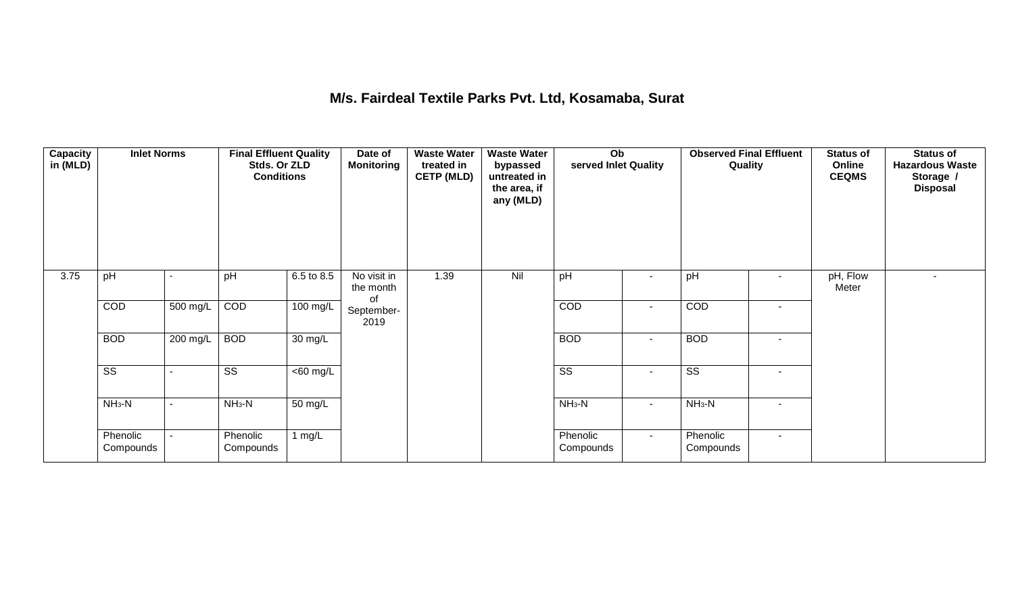### **M/s. Fairdeal Textile Parks Pvt. Ltd, Kosamaba, Surat**

| <b>Capacity</b><br>in (MLD) | <b>Inlet Norms</b>     |          | <b>Final Effluent Quality</b><br>Stds. Or ZLD<br><b>Conditions</b> |                      | Date of<br><b>Monitoring</b>   | <b>Waste Water</b><br>treated in<br><b>CETP (MLD)</b> | <b>Waste Water</b><br>bypassed<br>untreated in<br>the area, if<br>any (MLD) | $\overline{Ob}$<br>served Inlet Quality |                | <b>Observed Final Effluent</b><br>Quality |                          | <b>Status of</b><br>Online<br><b>CEQMS</b> | <b>Status of</b><br><b>Hazardous Waste</b><br>Storage /<br><b>Disposal</b> |
|-----------------------------|------------------------|----------|--------------------------------------------------------------------|----------------------|--------------------------------|-------------------------------------------------------|-----------------------------------------------------------------------------|-----------------------------------------|----------------|-------------------------------------------|--------------------------|--------------------------------------------|----------------------------------------------------------------------------|
| 3.75                        | pH                     |          | pH                                                                 | 6.5 to 8.5           | No visit in<br>the month<br>of | 1.39                                                  | Nil                                                                         | pH                                      |                | pH                                        | $\overline{\phantom{a}}$ | pH, Flow<br>Meter                          |                                                                            |
|                             | COD                    | 500 mg/L | COD                                                                | $100 \text{ mg/L}$   | September-<br>2019             |                                                       |                                                                             | COD                                     | $\sim$         | COD                                       | $\overline{\phantom{a}}$ |                                            |                                                                            |
|                             | <b>BOD</b>             | 200 mg/L | <b>BOD</b>                                                         | $\overline{30}$ mg/L |                                |                                                       |                                                                             | <b>BOD</b>                              | $\sim$         | <b>BOD</b>                                | $\sim$                   |                                            |                                                                            |
|                             | $\overline{\text{ss}}$ |          | $\overline{\text{ss}}$                                             | $\overline{60}$ mg/L |                                |                                                       |                                                                             | $\overline{\text{ss}}$                  | $\blacksquare$ | $\overline{\text{ss}}$                    | $\blacksquare$           |                                            |                                                                            |
|                             | $NH3-N$                |          | $NH3-N$                                                            | $\overline{50}$ mg/L |                                |                                                       |                                                                             | $NH3-N$                                 | $\blacksquare$ | $NH3-N$                                   | $\blacksquare$           |                                            |                                                                            |
|                             | Phenolic<br>Compounds  |          | Phenolic<br>Compounds                                              | 1 $mg/L$             |                                |                                                       |                                                                             | Phenolic<br>Compounds                   | $\sim$         | Phenolic<br>Compounds                     | $\sim$                   |                                            |                                                                            |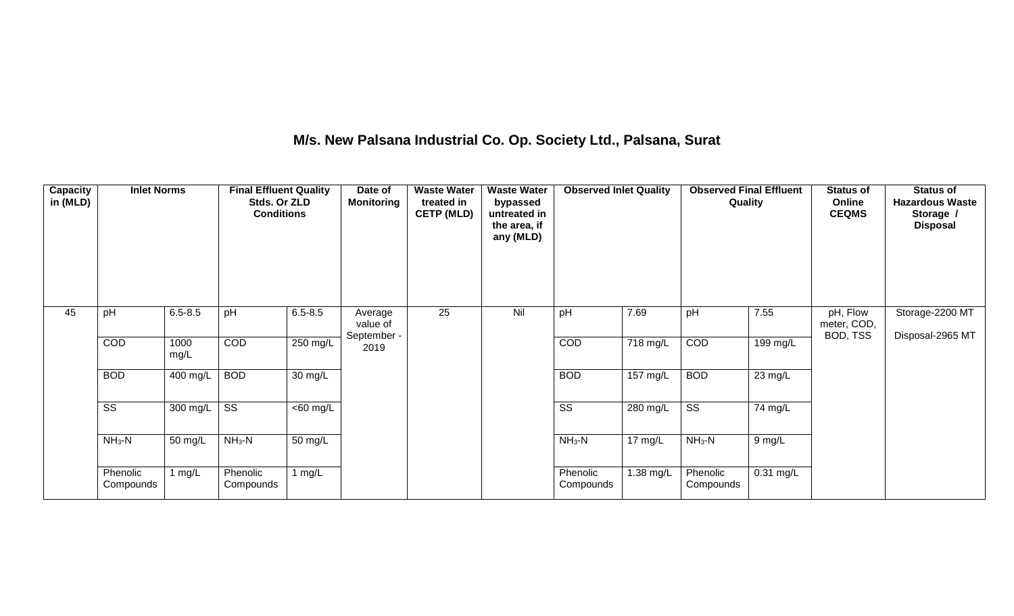## **M/s. New Palsana Industrial Co. Op. Society Ltd., Palsana, Surat**

| <b>Capacity</b><br>in (MLD) | <b>Inlet Norms</b>     |              | <b>Final Effluent Quality</b><br>Stds. Or ZLD<br><b>Conditions</b> |                   | Date of<br><b>Monitoring</b>       | <b>Waste Water</b><br>treated in<br><b>CETP (MLD)</b> | <b>Waste Water</b><br>bypassed<br>untreated in<br>the area, if<br>any (MLD) | <b>Observed Inlet Quality</b> |           | <b>Observed Final Effluent</b><br>Quality |             | <b>Status of</b><br>Online<br><b>CEQMS</b> | <b>Status of</b><br><b>Hazardous Waste</b><br>Storage /<br><b>Disposal</b> |
|-----------------------------|------------------------|--------------|--------------------------------------------------------------------|-------------------|------------------------------------|-------------------------------------------------------|-----------------------------------------------------------------------------|-------------------------------|-----------|-------------------------------------------|-------------|--------------------------------------------|----------------------------------------------------------------------------|
| 45                          | pH                     | $6.5 - 8.5$  | pH                                                                 | $6.5 - 8.5$       | Average<br>value of<br>September - | 25                                                    | Nil                                                                         | pH                            | 7.69      | pH                                        | 7.55        | pH, Flow<br>meter, COD,<br>BOD, TSS        | Storage-2200 MT<br>Disposal-2965 MT                                        |
|                             | COD                    | 1000<br>mg/L | COD                                                                | 250 mg/L          | 2019                               |                                                       |                                                                             | COD                           | 718 mg/L  | COD                                       | 199 mg/L    |                                            |                                                                            |
|                             | <b>BOD</b>             | 400 mg/L     | <b>BOD</b>                                                         | $30 \text{ mg/L}$ |                                    |                                                       |                                                                             | <b>BOD</b>                    | 157 mg/L  | <b>BOD</b>                                | 23 mg/L     |                                            |                                                                            |
|                             | $\overline{\text{ss}}$ | 300 mg/L     | $\overline{\text{SS}}$                                             | $<$ 60 mg/L       |                                    |                                                       |                                                                             | $\overline{\text{ss}}$        | 280 mg/L  | $\overline{\text{ss}}$                    | 74 mg/L     |                                            |                                                                            |
|                             | $NH3-N$                | 50 mg/L      | $NH3-N$                                                            | 50 mg/L           |                                    |                                                       |                                                                             | $NH3-N$                       | 17 mg/L   | $NH3-N$                                   | 9 mg/L      |                                            |                                                                            |
|                             | Phenolic<br>Compounds  | mg/L         | Phenolic<br>Compounds                                              | 1 $mg/L$          |                                    |                                                       |                                                                             | Phenolic<br>Compounds         | 1.38 mg/L | Phenolic<br>Compounds                     | $0.31$ mg/L |                                            |                                                                            |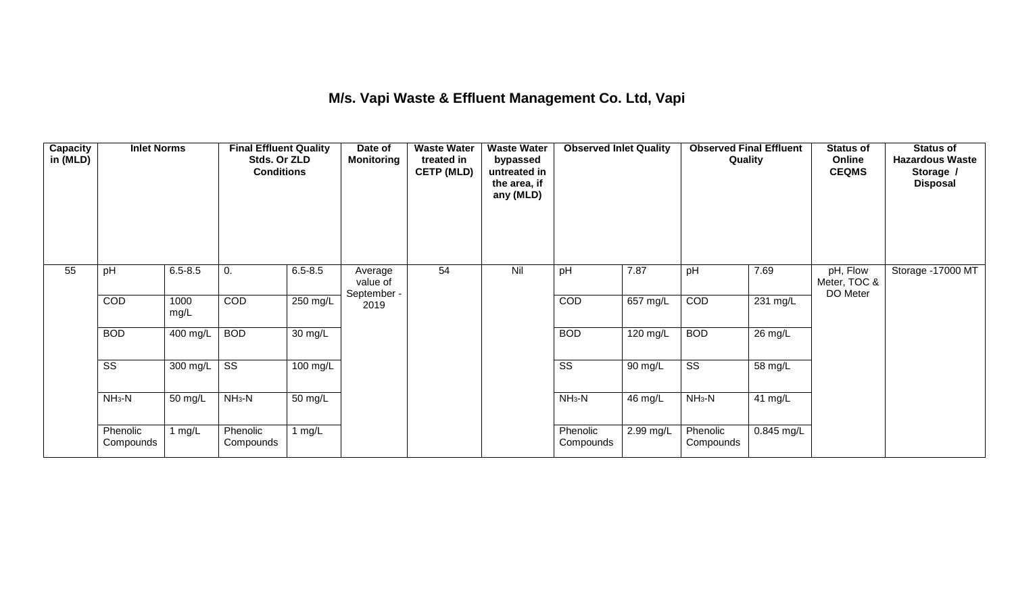## **M/s. Vapi Waste & Effluent Management Co. Ltd, Vapi**

| Capacity<br>in (MLD) | <b>Inlet Norms</b><br>$6.5 - 8.5$<br>pH |              | <b>Final Effluent Quality</b><br>Stds. Or ZLD<br><b>Conditions</b> |                      | Date of<br><b>Monitoring</b>       | <b>Waste Water</b><br>treated in<br><b>CETP (MLD)</b> | <b>Waste Water</b><br>bypassed<br>untreated in<br>the area, if<br>any (MLD) | <b>Observed Inlet Quality</b> |                            | <b>Observed Final Effluent</b><br>Quality |                       | <b>Status of</b><br>Online<br><b>CEQMS</b> | <b>Status of</b><br><b>Hazardous Waste</b><br>Storage /<br><b>Disposal</b> |
|----------------------|-----------------------------------------|--------------|--------------------------------------------------------------------|----------------------|------------------------------------|-------------------------------------------------------|-----------------------------------------------------------------------------|-------------------------------|----------------------------|-------------------------------------------|-----------------------|--------------------------------------------|----------------------------------------------------------------------------|
| 55                   |                                         |              | 0.                                                                 | $6.5 - 8.5$          | Average<br>value of<br>September - | 54                                                    | Nil                                                                         | pH                            | 7.87                       | pH                                        | 7.69                  | pH, Flow<br>Meter, TOC &<br>DO Meter       | Storage -17000 MT                                                          |
|                      | COD                                     | 1000<br>mg/L | COD                                                                | 250 mg/L             | 2019                               |                                                       |                                                                             | COD                           | $657$ mg/L                 | COD                                       | $\overline{231}$ mg/L |                                            |                                                                            |
|                      | <b>BOD</b>                              | 400 mg/L     | <b>BOD</b>                                                         | $\overline{30}$ mg/L |                                    |                                                       |                                                                             | <b>BOD</b>                    | $\frac{120 \text{ mg}}{L}$ | <b>BOD</b>                                | 26 mg/L               |                                            |                                                                            |
|                      | $\overline{\text{ss}}$                  | 300 mg/L     | $\overline{\text{SS}}$                                             | 100 mg/L             |                                    |                                                       |                                                                             | $\overline{\text{SS}}$        | 90 mg/L                    | $\overline{\text{ss}}$                    | 58 mg/L               |                                            |                                                                            |
|                      | $NH3-N$                                 | 50 mg/L      | $NH3-N$                                                            | $\overline{50}$ mg/L |                                    |                                                       |                                                                             | $NH3-N$                       | 46 mg/L                    | $NH3-N$                                   | 41 $mg/L$             |                                            |                                                                            |
|                      | Phenolic<br>Compounds                   | 1 $mg/L$     | Phenolic<br>Compounds                                              | 1 $mg/L$             |                                    |                                                       |                                                                             | Phenolic<br>Compounds         | 2.99 mg/L                  | Phenolic<br>Compounds                     | 0.845 mg/L            |                                            |                                                                            |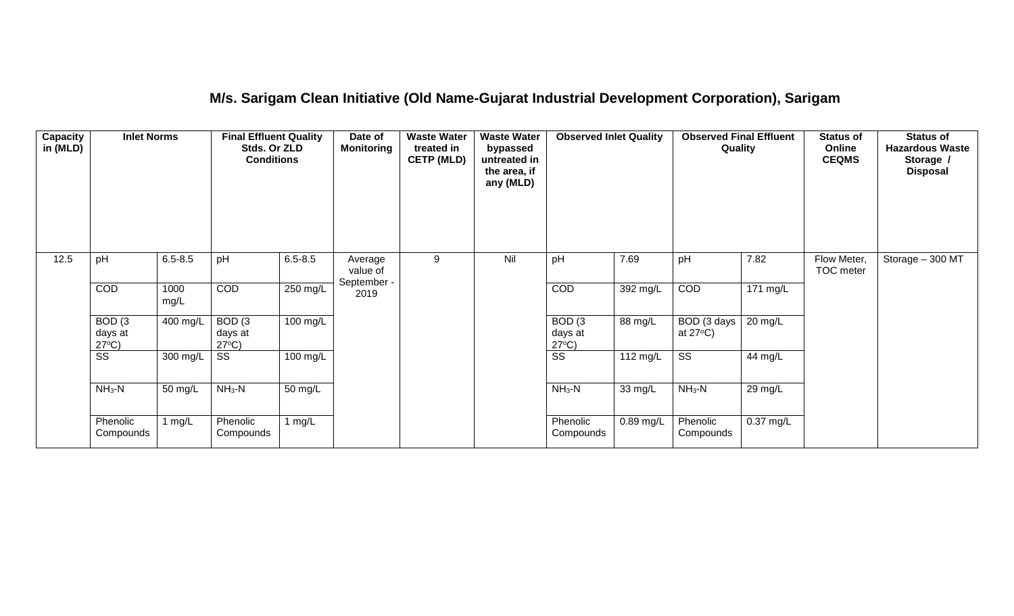## **M/s. Sarigam Clean Initiative (Old Name-Gujarat Industrial Development Corporation), Sarigam**

| <b>Capacity</b><br>in (MLD) | <b>Inlet Norms</b><br>pH<br>$6.5 - 8.5$         |              | <b>Final Effluent Quality</b><br>Stds. Or ZLD<br><b>Conditions</b> |                      | Date of<br><b>Monitoring</b>       | <b>Waste Water</b><br>treated in<br><b>CETP (MLD)</b> | <b>Waste Water</b><br>bypassed<br>untreated in<br>the area, if<br>any (MLD) | <b>Observed Inlet Quality</b>                   |             | <b>Observed Final Effluent</b><br>Quality |           | <b>Status of</b><br>Online<br><b>CEQMS</b> | <b>Status of</b><br><b>Hazardous Waste</b><br>Storage /<br><b>Disposal</b> |
|-----------------------------|-------------------------------------------------|--------------|--------------------------------------------------------------------|----------------------|------------------------------------|-------------------------------------------------------|-----------------------------------------------------------------------------|-------------------------------------------------|-------------|-------------------------------------------|-----------|--------------------------------------------|----------------------------------------------------------------------------|
| 12.5                        |                                                 |              | pH                                                                 | $6.5 - 8.5$          | Average<br>value of<br>September - | 9                                                     | Nil                                                                         | pH                                              | 7.69        | pH                                        | 7.82      | Flow Meter,<br>TOC meter                   | Storage $-300$ MT                                                          |
|                             | COD                                             | 1000<br>mg/L | COD                                                                | 250 mg/L             | 2019                               |                                                       |                                                                             | COD                                             | 392 mg/L    | COD                                       | 171 mg/L  |                                            |                                                                            |
|                             | BOD <sub>(3</sub><br>days at<br>$27^{\circ}C$ ) | 400 mg/L     | BOD <sub>(3</sub><br>days at<br>$27^{\circ}C$ )                    | 100 mg/L             |                                    |                                                       |                                                                             | BOD <sub>(3</sub><br>days at<br>$27^{\circ}C$ ) | 88 mg/L     | BOD (3 days<br>at $27^{\circ}$ C)         | 20 mg/L   |                                            |                                                                            |
|                             | SS                                              | 300 mg/L     | SS                                                                 | 100 mg/L             |                                    |                                                       |                                                                             | $\overline{\text{ss}}$                          | 112 mg/L    | $\overline{\text{ss}}$                    | 44 mg/L   |                                            |                                                                            |
|                             | $NH3-N$                                         | 50 mg/L      | $NH3-N$                                                            | $\overline{50}$ mg/L |                                    |                                                       |                                                                             | $NH3-N$                                         | 33 mg/L     | $NH3-N$                                   | 29 mg/L   |                                            |                                                                            |
|                             | Phenolic<br>Compounds                           | 1 $mg/L$     | Phenolic<br>Compounds                                              | 1 $mg/L$             |                                    |                                                       |                                                                             | Phenolic<br>Compounds                           | $0.89$ mg/L | Phenolic<br>Compounds                     | 0.37 mg/L |                                            |                                                                            |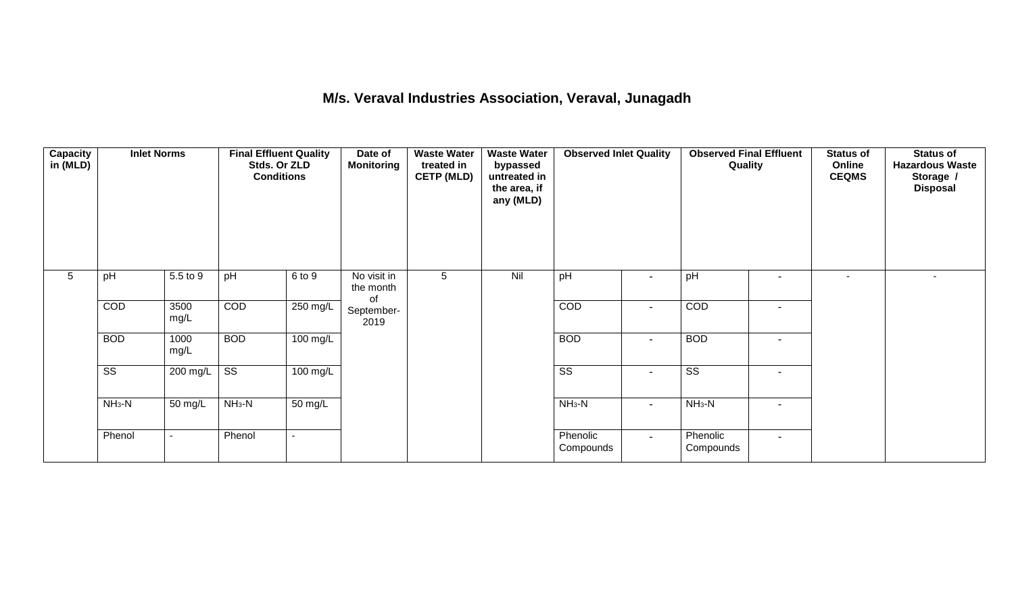### **M/s. Veraval Industries Association, Veraval, Junagadh**

| Capacity<br>in (MLD) | <b>Inlet Norms</b><br>5.5 to 9<br>pH |                          | <b>Final Effluent Quality</b><br>Stds. Or ZLD<br><b>Conditions</b> |                       | Date of<br><b>Monitoring</b>   | treated in<br><b>CETP (MLD)</b><br>5 | <b>Waste Water</b><br>bypassed<br>untreated in<br>the area, if<br>any (MLD) | <b>Observed Inlet Quality</b> |                          | <b>Observed Final Effluent</b><br>Quality |                          | <b>Status of</b><br>Online<br><b>CEQMS</b> | <b>Status of</b><br><b>Hazardous Waste</b><br>Storage /<br><b>Disposal</b> |
|----------------------|--------------------------------------|--------------------------|--------------------------------------------------------------------|-----------------------|--------------------------------|--------------------------------------|-----------------------------------------------------------------------------|-------------------------------|--------------------------|-------------------------------------------|--------------------------|--------------------------------------------|----------------------------------------------------------------------------|
| 5                    |                                      |                          | pH                                                                 | 6 to 9                | No visit in<br>the month<br>of |                                      | Nil                                                                         | pH                            | $\blacksquare$           | pH                                        | $\blacksquare$           | $\overline{\phantom{a}}$                   | $\sim$                                                                     |
|                      | COD                                  | 3500<br>mg/L             | COD                                                                | $250 \text{ mg/L}$    | September-<br>2019             |                                      |                                                                             | COD                           | $\overline{\phantom{a}}$ | COD                                       | $\overline{\phantom{a}}$ |                                            |                                                                            |
|                      | <b>BOD</b>                           | 1000<br>mg/L             | <b>BOD</b>                                                         | $\overline{100}$ mg/L |                                |                                      |                                                                             | <b>BOD</b>                    | $\blacksquare$           | <b>BOD</b>                                | $\blacksquare$           |                                            |                                                                            |
|                      | $\overline{\text{ss}}$               | 200 mg/L                 | $\overline{\text{ss}}$                                             | $100 \text{ mg/L}$    |                                |                                      |                                                                             | $\overline{\text{ss}}$        | $\overline{\phantom{a}}$ | $\overline{\text{ss}}$                    | $\blacksquare$           |                                            |                                                                            |
|                      | $NH3-N$                              | 50 mg/L                  | $NH3-N$                                                            | $\overline{50}$ mg/L  |                                |                                      |                                                                             | $NH_3-N$                      | $\blacksquare$           | $NH3-N$                                   | $\blacksquare$           |                                            |                                                                            |
|                      | Phenol                               | $\overline{\phantom{a}}$ | Phenol                                                             |                       |                                |                                      |                                                                             | Phenolic<br>Compounds         | $\sim$                   | Phenolic<br>Compounds                     | $\sim$                   |                                            |                                                                            |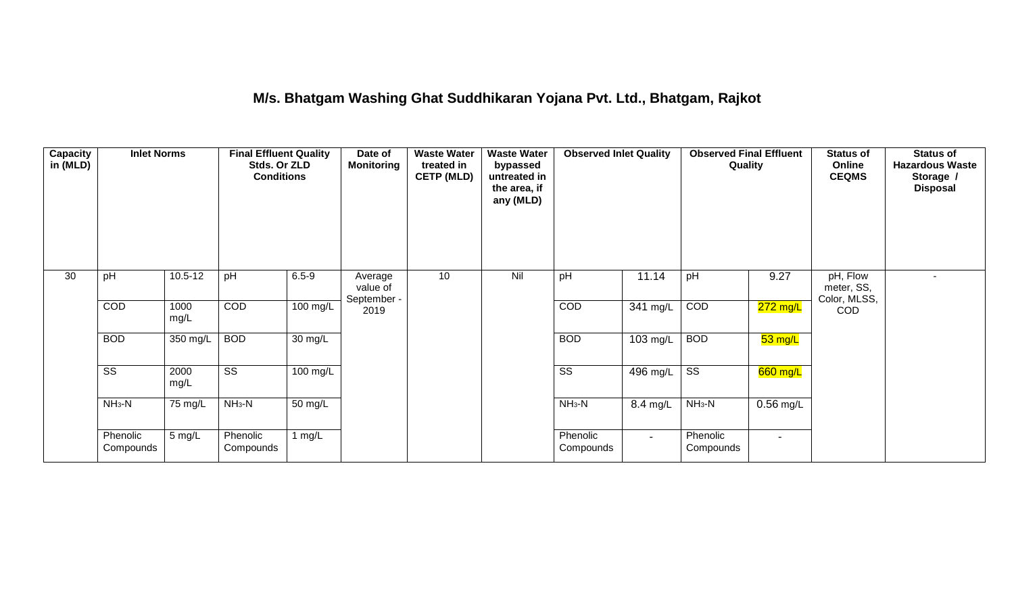### **M/s. Bhatgam Washing Ghat Suddhikaran Yojana Pvt. Ltd., Bhatgam, Rajkot**

| Capacity<br>in (MLD) | <b>Inlet Norms</b>     |              | <b>Final Effluent Quality</b><br>Stds. Or ZLD<br><b>Conditions</b> |            | Date of<br><b>Monitoring</b>       | <b>Waste Water</b><br>treated in<br><b>CETP (MLD)</b> | <b>Waste Water</b><br>bypassed<br>untreated in<br>the area, if<br>any (MLD) | <b>Observed Inlet Quality</b> |          | <b>Observed Final Effluent</b><br>Quality |                       | <b>Status of</b><br>Online<br><b>CEQMS</b> | <b>Status of</b><br><b>Hazardous Waste</b><br>Storage /<br><b>Disposal</b> |
|----------------------|------------------------|--------------|--------------------------------------------------------------------|------------|------------------------------------|-------------------------------------------------------|-----------------------------------------------------------------------------|-------------------------------|----------|-------------------------------------------|-----------------------|--------------------------------------------|----------------------------------------------------------------------------|
| 30                   | pH                     | $10.5 - 12$  | pH                                                                 | $6.5 - 9$  | Average<br>value of<br>September - | 10                                                    | Nil                                                                         | pH                            | 11.14    | pH                                        | 9.27                  | pH, Flow<br>meter, SS,<br>Color, MLSS,     | ۰                                                                          |
|                      | COD                    | 1000<br>mg/L | COD                                                                | $100$ mg/L | 2019                               |                                                       |                                                                             | COD                           | 341 mg/L | COD                                       | <mark>272 mg/L</mark> | <b>COD</b>                                 |                                                                            |
|                      | <b>BOD</b>             | 350 mg/L     | <b>BOD</b>                                                         | 30 mg/L    |                                    |                                                       |                                                                             | <b>BOD</b>                    | 103 mg/L | <b>BOD</b>                                | $53$ mg/L             |                                            |                                                                            |
|                      | $\overline{\text{ss}}$ | 2000<br>mg/L | $\overline{\text{ss}}$                                             | $100$ mg/L |                                    |                                                       |                                                                             | $\overline{\text{ss}}$        | 496 mg/L | $\overline{\text{ss}}$                    | 660 mg/L              |                                            |                                                                            |
|                      | $NH3-N$                | 75 mg/L      | $NH3-N$                                                            | 50 mg/L    |                                    |                                                       |                                                                             | $NH3-N$                       | 8.4 mg/L | $NH3-N$                                   | $0.56$ mg/L           |                                            |                                                                            |
|                      | Phenolic<br>Compounds  | 5 mg/L       | Phenolic<br>Compounds                                              | 1 $mg/L$   |                                    |                                                       |                                                                             | Phenolic<br>Compounds         | $\sim$   | Phenolic<br>Compounds                     | $\blacksquare$        |                                            |                                                                            |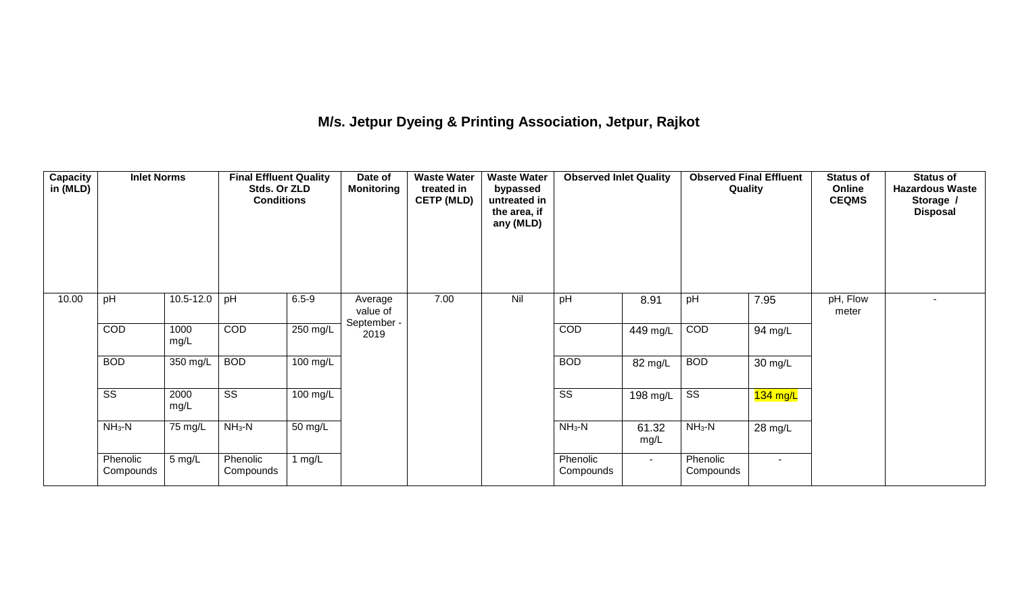# **M/s. Jetpur Dyeing & Printing Association, Jetpur, Rajkot**

| Capacity<br>in (MLD) | <b>Inlet Norms</b><br>pH |               | <b>Final Effluent Quality</b><br>Stds. Or ZLD<br><b>Conditions</b> |                    | Date of<br><b>Monitoring</b> | <b>Waste Water</b><br>treated in<br><b>CETP (MLD)</b> | <b>Waste Water</b><br>bypassed<br>untreated in<br>the area, if<br>any (MLD) | <b>Observed Inlet Quality</b> |               | <b>Observed Final Effluent</b><br>Quality |            | <b>Status of</b><br>Online<br><b>CEQMS</b> | <b>Status of</b><br><b>Hazardous Waste</b><br>Storage /<br><b>Disposal</b> |
|----------------------|--------------------------|---------------|--------------------------------------------------------------------|--------------------|------------------------------|-------------------------------------------------------|-----------------------------------------------------------------------------|-------------------------------|---------------|-------------------------------------------|------------|--------------------------------------------|----------------------------------------------------------------------------|
| 10.00                |                          | $10.5 - 12.0$ | pH                                                                 | $6.5 - 9$          | Average<br>value of          | 7.00                                                  | Nil                                                                         | pH                            | 8.91          | pH                                        | 7.95       | pH, Flow<br>meter                          |                                                                            |
|                      | COD                      | 1000<br>mg/L  | COD                                                                | $250$ mg/L         | September -<br>2019          |                                                       |                                                                             | COD                           | 449 mg/L      | COD                                       | 94 mg/L    |                                            |                                                                            |
|                      | <b>BOD</b>               | 350 mg/L      | <b>BOD</b>                                                         | $100 \text{ mg/L}$ |                              |                                                       |                                                                             | <b>BOD</b>                    | 82 mg/L       | <b>BOD</b>                                | 30 mg/L    |                                            |                                                                            |
|                      | $\overline{\text{ss}}$   | 2000<br>mg/L  | $\overline{\text{ss}}$                                             | 100 mg/L           |                              |                                                       |                                                                             | $\overline{\text{SS}}$        | 198 mg/L      | $\overline{\text{ss}}$                    | $134$ mg/L |                                            |                                                                            |
|                      | $NH3-N$                  | 75 mg/L       | $NH_3-N$                                                           | 50 mg/L            |                              |                                                       |                                                                             | $NH_3-N$                      | 61.32<br>mg/L | $NH3-N$                                   | 28 mg/L    |                                            |                                                                            |
|                      | Phenolic<br>Compounds    | 5 mg/L        | Phenolic<br>Compounds                                              | 1 $mg/L$           |                              |                                                       |                                                                             | Phenolic<br>Compounds         | $\sim$        | Phenolic<br>Compounds                     | $\sim$     |                                            |                                                                            |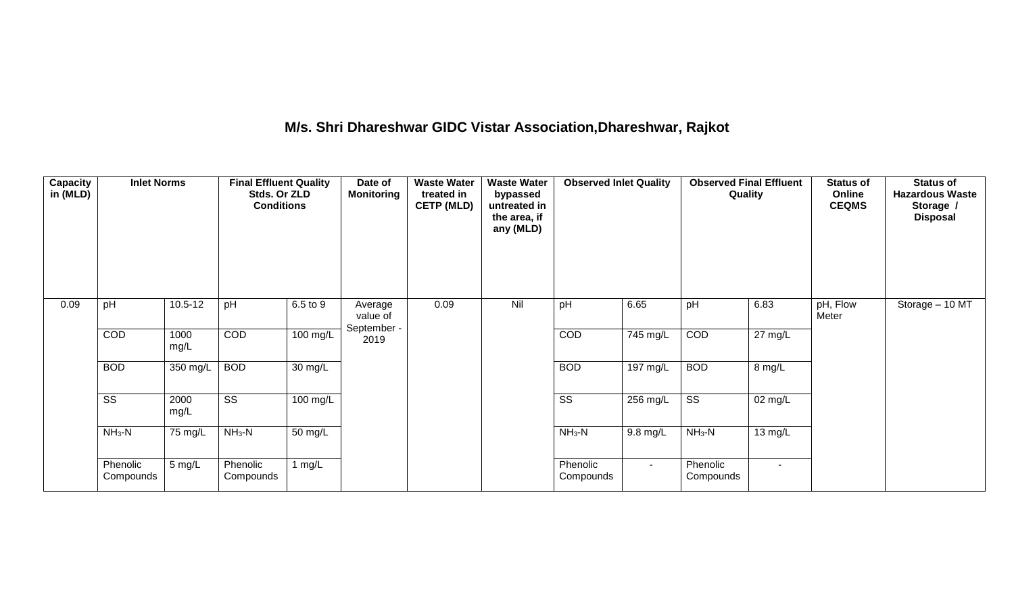# **M/s. Shri Dhareshwar GIDC Vistar Association,Dhareshwar, Rajkot**

| Capacity<br>in (MLD) | <b>Inlet Norms</b><br>pH<br>$10.5 - 12$ |                    | <b>Final Effluent Quality</b><br>Stds. Or ZLD<br><b>Conditions</b> |                      | Date of<br><b>Monitoring</b>       | <b>Waste Water</b><br>treated in<br><b>CETP (MLD)</b> | <b>Waste Water</b><br>bypassed<br>untreated in<br>the area, if<br>any (MLD) | <b>Observed Inlet Quality</b> |                    | <b>Observed Final Effluent</b><br>Quality |         | <b>Status of</b><br>Online<br><b>CEQMS</b> | <b>Status of</b><br><b>Hazardous Waste</b><br>Storage /<br><b>Disposal</b> |
|----------------------|-----------------------------------------|--------------------|--------------------------------------------------------------------|----------------------|------------------------------------|-------------------------------------------------------|-----------------------------------------------------------------------------|-------------------------------|--------------------|-------------------------------------------|---------|--------------------------------------------|----------------------------------------------------------------------------|
| 0.09                 |                                         |                    | pH                                                                 | 6.5 to 9             | Average<br>value of<br>September - | 0.09                                                  | Nil                                                                         | pH                            | 6.65               | pH                                        | 6.83    | pH, Flow<br>Meter                          | Storage - 10 MT                                                            |
|                      | COD                                     | 1000<br>mg/L       | COD                                                                | 100 mg/L             | 2019                               |                                                       |                                                                             | COD                           | 745 mg/L           | COD                                       | 27 mg/L |                                            |                                                                            |
|                      | <b>BOD</b>                              | 350 mg/L           | <b>BOD</b>                                                         | $\overline{30}$ mg/L |                                    |                                                       |                                                                             | <b>BOD</b>                    | $197 \text{ mg/L}$ | <b>BOD</b>                                | 8 mg/L  |                                            |                                                                            |
|                      | $\overline{\text{ss}}$                  | 2000<br>mg/L       | $\overline{\text{ss}}$                                             | $100 \text{ mg/L}$   |                                    |                                                       |                                                                             | $\overline{\text{ss}}$        | 256 mg/L           | $\overline{\text{ss}}$                    | 02 mg/L |                                            |                                                                            |
|                      | $NH3-N$                                 | $NH3-N$<br>75 mg/L | $\overline{50}$ mg/L                                               |                      |                                    |                                                       | $NH_3-N$                                                                    | $9.8 \text{ mg/L}$            | $NH3-N$            | 13 mg/L                                   |         |                                            |                                                                            |
|                      | Phenolic<br>Compounds                   | 5 mg/L             | Phenolic<br>Compounds                                              | 1 $mg/L$             |                                    |                                                       |                                                                             | Phenolic<br>Compounds         | $\sim$             | Phenolic<br>Compounds                     | $\sim$  |                                            |                                                                            |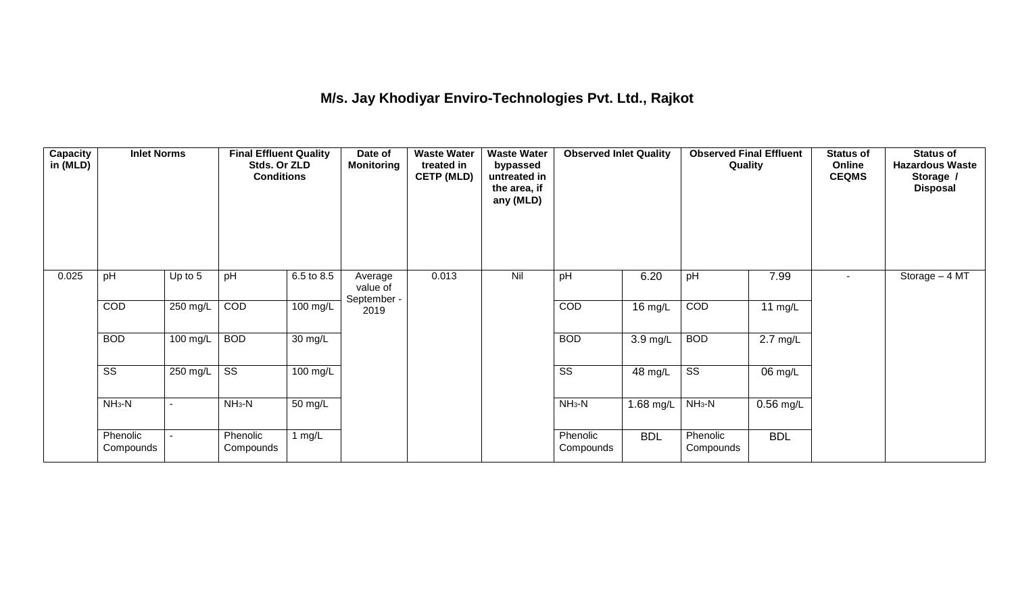## **M/s. Jay Khodiyar Enviro-Technologies Pvt. Ltd., Rajkot**

| <b>Capacity</b><br>in (MLD) | <b>Inlet Norms</b><br>pH<br>Up to 5 |          | <b>Final Effluent Quality</b><br>Stds. Or ZLD<br><b>Conditions</b> |            | Date of<br><b>Monitoring</b>       | <b>Waste Water</b><br>treated in<br><b>CETP (MLD)</b> | <b>Waste Water</b><br>bypassed<br>untreated in<br>the area, if<br>any (MLD) | <b>Observed Inlet Quality</b> |            | <b>Observed Final Effluent</b><br>Quality |                    | <b>Status of</b><br>Online<br><b>CEQMS</b> | <b>Status of</b><br><b>Hazardous Waste</b><br>Storage /<br><b>Disposal</b> |
|-----------------------------|-------------------------------------|----------|--------------------------------------------------------------------|------------|------------------------------------|-------------------------------------------------------|-----------------------------------------------------------------------------|-------------------------------|------------|-------------------------------------------|--------------------|--------------------------------------------|----------------------------------------------------------------------------|
| 0.025                       |                                     |          | pH                                                                 | 6.5 to 8.5 | Average<br>value of<br>September - | 0.013                                                 | Nil                                                                         | pH                            | 6.20       | pH                                        | 7.99               | ۰.                                         | Storage - 4 MT                                                             |
|                             | COD                                 | 250 mg/L | COD                                                                | 100 mg/L   | 2019                               |                                                       |                                                                             | COD                           | 16 mg/L    | COD                                       | 11 $mg/L$          |                                            |                                                                            |
|                             | <b>BOD</b>                          | 100 mg/L | <b>BOD</b>                                                         | 30 mg/L    |                                    |                                                       |                                                                             | <b>BOD</b>                    | $3.9$ mg/L | <b>BOD</b>                                | $2.7 \text{ mg/L}$ |                                            |                                                                            |
|                             | $\overline{\text{ss}}$              | 250 mg/L | $\overline{\text{ss}}$                                             | $100$ mg/L |                                    |                                                       |                                                                             | $\overline{\text{ss}}$        | 48 mg/L    | $\overline{\text{ss}}$                    | 06 mg/L            |                                            |                                                                            |
|                             | $NH3-N$                             |          | $NH3-N$                                                            | 50 mg/L    |                                    |                                                       |                                                                             | $NH3-N$                       | 1.68 mg/L  | $NH3-N$                                   | $0.56$ mg/L        |                                            |                                                                            |
|                             | Phenolic<br>Compounds               |          | Phenolic<br>Compounds                                              | 1 $mg/L$   |                                    |                                                       |                                                                             | Phenolic<br>Compounds         | <b>BDL</b> | Phenolic<br>Compounds                     | <b>BDL</b>         |                                            |                                                                            |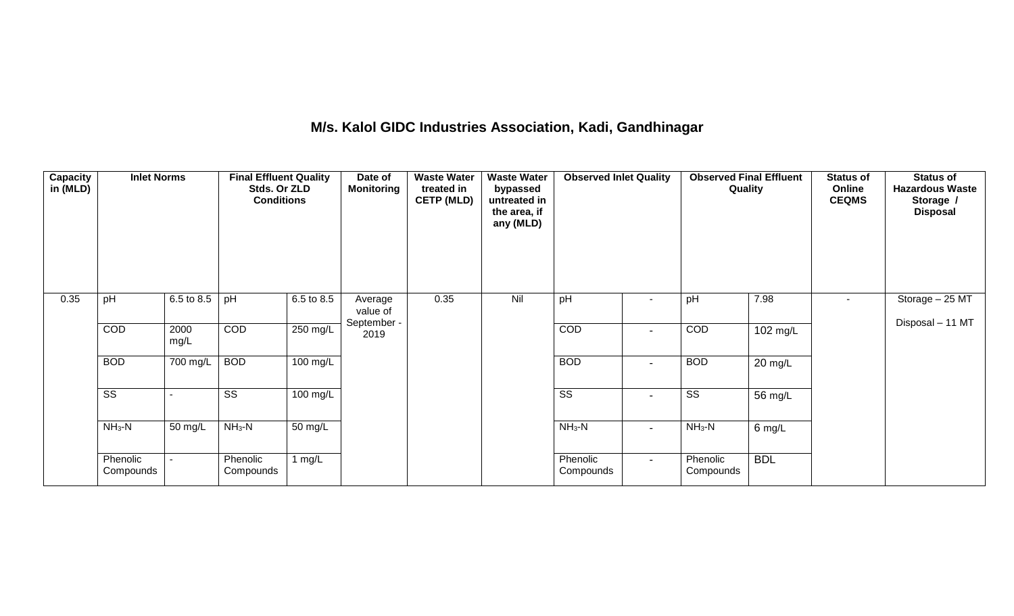### **M/s. Kalol GIDC Industries Association, Kadi, Gandhinagar**

| Capacity<br>in (MLD) | <b>Inlet Norms</b><br>pH<br>6.5 to 8.5 |              | <b>Final Effluent Quality</b><br>Stds. Or ZLD<br><b>Conditions</b> |                       | Date of<br><b>Monitoring</b> | <b>Waste Water</b><br>treated in<br><b>CETP (MLD)</b> | <b>Waste Water</b><br>bypassed<br>untreated in<br>the area, if<br>any (MLD) | <b>Observed Inlet Quality</b> |                          | <b>Observed Final Effluent</b><br>Quality |                   | <b>Status of</b><br>Online<br><b>CEQMS</b> | <b>Status of</b><br><b>Hazardous Waste</b><br>Storage /<br><b>Disposal</b> |
|----------------------|----------------------------------------|--------------|--------------------------------------------------------------------|-----------------------|------------------------------|-------------------------------------------------------|-----------------------------------------------------------------------------|-------------------------------|--------------------------|-------------------------------------------|-------------------|--------------------------------------------|----------------------------------------------------------------------------|
| 0.35                 |                                        |              | pH                                                                 | 6.5 to 8.5            | Average<br>value of          | 0.35                                                  | Nil                                                                         | pH                            |                          | pH                                        | 7.98              | ٠                                          | Storage - 25 MT<br>Disposal - 11 MT                                        |
|                      | COD                                    | 2000<br>mg/L | COD                                                                | 250 mg/L              | September -<br>2019          |                                                       |                                                                             | COD                           | $\blacksquare$           | COD                                       | 102 mg/L          |                                            |                                                                            |
|                      | <b>BOD</b>                             | 700 mg/L     | <b>BOD</b>                                                         | $100 \text{ mg/L}$    |                              |                                                       |                                                                             | <b>BOD</b>                    | $\blacksquare$           | <b>BOD</b>                                | $20 \text{ mg/L}$ |                                            |                                                                            |
|                      | $\overline{\text{ss}}$                 |              | $\overline{\text{SS}}$                                             | $\overline{100}$ mg/L |                              |                                                       |                                                                             | $\overline{\text{ss}}$        | $\overline{\phantom{a}}$ | $\overline{\text{ss}}$                    | 56 mg/L           |                                            |                                                                            |
|                      | $NH3-N$                                | 50 mg/L      | $NH3-N$                                                            | 50 mg/L               |                              |                                                       |                                                                             | $NH_3-N$                      | $\blacksquare$           | $NH3-N$                                   | 6 mg/L            |                                            |                                                                            |
|                      | Phenolic<br>Compounds                  |              | Phenolic<br>Compounds                                              | 1 $mg/L$              |                              |                                                       |                                                                             | Phenolic<br>Compounds         | $\sim$                   | Phenolic<br>Compounds                     | <b>BDL</b>        |                                            |                                                                            |